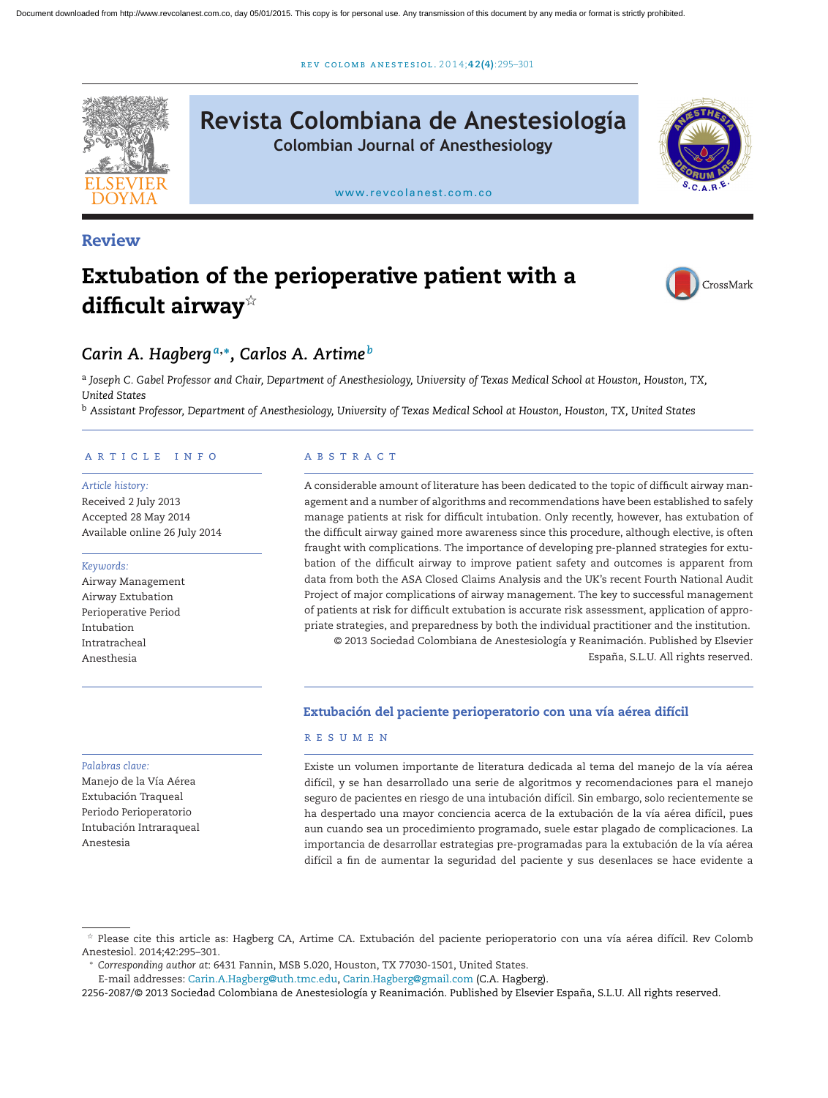r ev [colomb](dx.doi.org/10.1016/j.rcae.2014.06.003) ane s t e s iol . 2 0 1 4;**42(4)**:295–301



# **Review**

# **Extubation of the perioperative patient with a difficult airway**-



# *Carin A. Hagberg <sup>a</sup>***,∗***, Carlos A. Artime <sup>b</sup>*

a Joseph C. Gabel Professor and Chair, Department of Anesthesiology, University of Texas Medical School at Houston, Houston, TX, *United States*

<sup>b</sup> Assistant Professor, Department of Anesthesiology, University of Texas Medical School at Houston, Houston, TX, United States

# a r t i c l e i n f o

### *Article history:*

Received 2 July 2013 Accepted 28 May 2014 Available online 26 July 2014

#### *Keywords:*

Airway Management Airway Extubation Perioperative Period Intubation Intratracheal Anesthesia

# A B S T R A C T

A considerable amount of literature has been dedicated to the topic of difficult airway management and a number of algorithms and recommendations have been established to safely manage patients at risk for difficult intubation. Only recently, however, has extubation of the difficult airway gained more awareness since this procedure, although elective, is often fraught with complications. The importance of developing pre-planned strategies for extubation of the difficult airway to improve patient safety and outcomes is apparent from data from both the ASA Closed Claims Analysis and the UK's recent Fourth National Audit Project of major complications of airway management. The key to successful management of patients at risk for difficult extubation is accurate risk assessment, application of appropriate strategies, and preparedness by both the individual practitioner and the institution. © 2013 Sociedad Colombiana de Anestesiología y Reanimación. Published by Elsevier España, S.L.U. All rights reserved.

# **Extubación del paciente perioperatorio con una vía aérea difícil**

#### r e s u m e n

Existe un volumen importante de literatura dedicada al tema del manejo de la vía aérea difícil, y se han desarrollado una serie de algoritmos y recomendaciones para el manejo seguro de pacientes en riesgo de una intubación difícil. Sin embargo, solo recientemente se ha despertado una mayor conciencia acerca de la extubación de la vía aérea difícil, pues aun cuando sea un procedimiento programado, suele estar plagado de complicaciones. La importancia de desarrollar estrategias pre-programadas para la extubación de la vía aérea difícil a fin de aumentar la seguridad del paciente y sus desenlaces se hace evidente a

#### *Palabras clave:*

Manejo de la Vía Aérea Extubación Traqueal Periodo Perioperatorio Intubación Intraraqueal Anestesia

<sup>-</sup> Please cite this article as: Hagberg CA, Artime CA. Extubación del paciente perioperatorio con una vía aérea difícil. Rev Colomb Anestesiol. 2014;42:295–301.

<sup>∗</sup> *Corresponding author at*: 6431 Fannin, MSB 5.020, Houston, TX 77030-1501, United States.

E-mail addresses: [Carin.A.Hagberg@uth.tmc.edu,](mailto:Carin.A.Hagberg@uth.tmc.edu) [Carin.Hagberg@gmail.com](mailto:Carin.Hagberg@gmail.com) (C.A. Hagberg).

<sup>2256-2087/©</sup> 2013 Sociedad Colombiana de Anestesiología y Reanimación. Published by Elsevier España, S.L.U. All rights reserved.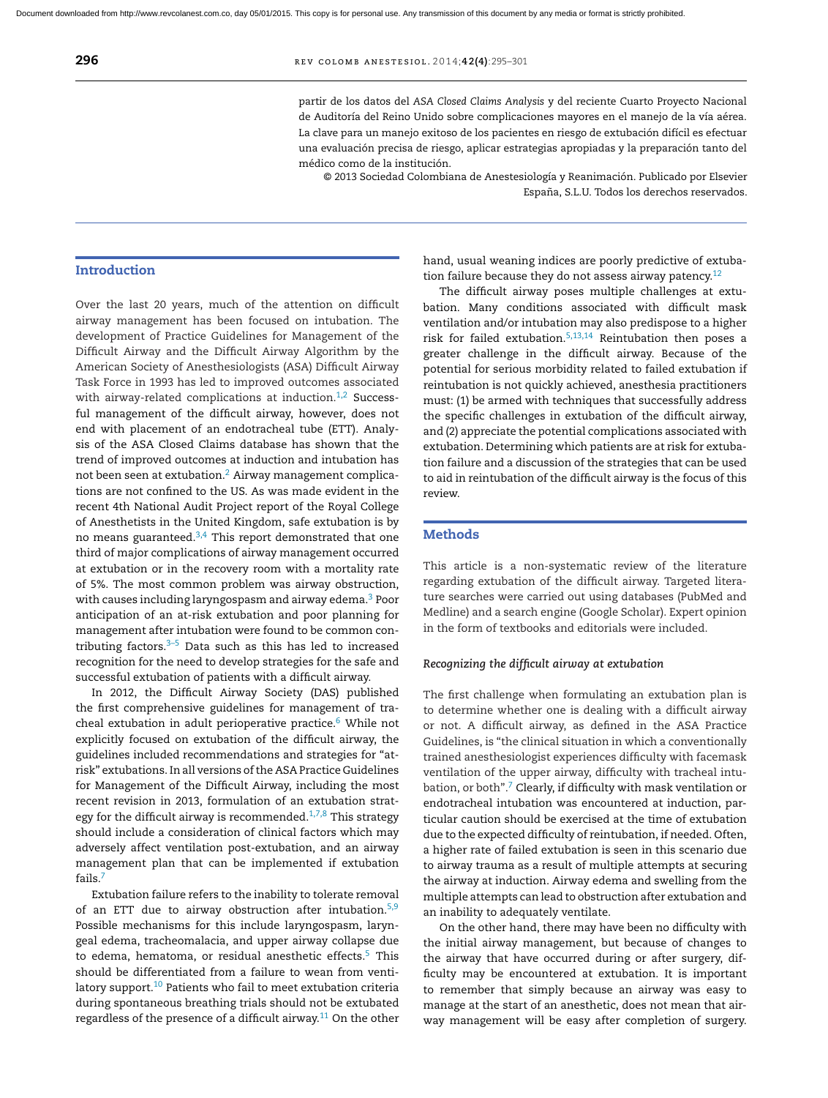partir de los datos del *ASA Closed Claims Analysis* y del reciente Cuarto Proyecto Nacional de Auditoría del Reino Unido sobre complicaciones mayores en el manejo de la vía aérea. La clave para un manejo exitoso de los pacientes en riesgo de extubación difícil es efectuar una evaluación precisa de riesgo, aplicar estrategias apropiadas y la preparación tanto del médico como de la institución.

© 2013 Sociedad Colombiana de Anestesiología y Reanimación. Publicado por Elsevier España, S.L.U. Todos los derechos reservados.

# **Introduction**

Over the last 20 years, much of the attention on difficult airway management has been focused on intubation. The development of Practice Guidelines for Management of the Difficult Airway and the Difficult Airway Algorithm by the American Society of Anesthesiologists (ASA) Difficult Airway Task Force in 1993 has led to improved outcomes associated with airway-related complications at induction. $1,2$  Successful management of the difficult airway, however, does not end with placement of an endotracheal tube (ETT). Analysis of the ASA Closed Claims database has shown that the trend of improved outcomes at induction and intubation has not been seen at extubation. $^2$  Airway management complications are not confined to the US. As was made evident in the recent 4th National Audit Project report of the Royal College of Anesthetists in the United Kingdom, safe extubation is by no means guaranteed. $3,4$  This report demonstrated that one third of major complications of airway management occurred at extubation or in the recovery room with a mortality rate of 5%. The most common problem was airway obstruction, with causes including laryngospasm and airway edema.[3](#page-5-0) Poor anticipation of an at-risk extubation and poor planning for management after intubation were found to be common contributing factors. $3-5$  Data such as this has led to increased recognition for the need to develop strategies for the safe and successful extubation of patients with a difficult airway.

In 2012, the Difficult Airway Society (DAS) published the first comprehensive guidelines for management of tra-cheal extubation in adult perioperative practice.<sup>[6](#page-5-0)</sup> While not explicitly focused on extubation of the difficult airway, the guidelines included recommendations and strategies for "atrisk" extubations. In all versions ofthe ASA Practice Guidelines for Management of the Difficult Airway, including the most recent revision in 2013, formulation of an extubation strategy for the difficult airway is recommended. $1,7,8$  This strategy should include a consideration of clinical factors which may adversely affect ventilation post-extubation, and an airway management plan that can be implemented if extubation fails[.7](#page-5-0)

Extubation failure refers to the inability to tolerate removal of an ETT due to airway obstruction after intubation.<sup>[5,9](#page-5-0)</sup> Possible mechanisms for this include laryngospasm, laryngeal edema, tracheomalacia, and upper airway collapse due to edema, hematoma, or residual anesthetic effects.<sup>[5](#page-5-0)</sup> This should be differentiated from a failure to wean from venti-latory support.<sup>[10](#page-5-0)</sup> Patients who fail to meet extubation criteria during spontaneous breathing trials should not be extubated regardless of the presence of a difficult airway.<sup>[11](#page-5-0)</sup> On the other hand, usual weaning indices are poorly predictive of extubation failure because they do not assess airway patency. $12$ 

The difficult airway poses multiple challenges at extubation. Many conditions associated with difficult mask ventilation and/or intubation may also predispose to a higher risk for failed extubation.[5,13,14](#page-5-0) Reintubation then poses a greater challenge in the difficult airway. Because of the potential for serious morbidity related to failed extubation if reintubation is not quickly achieved, anesthesia practitioners must: (1) be armed with techniques that successfully address the specific challenges in extubation of the difficult airway, and (2) appreciate the potential complications associated with extubation. Determining which patients are at risk for extubation failure and a discussion of the strategies that can be used to aid in reintubation of the difficult airway is the focus of this review.

### **Methods**

This article is a non-systematic review of the literature regarding extubation of the difficult airway. Targeted literature searches were carried out using databases (PubMed and Medline) and a search engine (Google Scholar). Expert opinion in the form of textbooks and editorials were included.

#### *Recognizing the difficult airway at extubation*

The first challenge when formulating an extubation plan is to determine whether one is dealing with a difficult airway or not. A difficult airway, as defined in the ASA Practice Guidelines, is "the clinical situation in which a conventionally trained anesthesiologist experiences difficulty with facemask ventilation of the upper airway, difficulty with tracheal intubation, or both".<sup>7</sup> Clearly, if difficulty with mask ventilation or endotracheal intubation was encountered at induction, particular caution should be exercised at the time of extubation due to the expected difficulty of reintubation, if needed. Often, a higher rate of failed extubation is seen in this scenario due to airway trauma as a result of multiple attempts at securing the airway at induction. Airway edema and swelling from the multiple attempts can lead to obstruction after extubation and an inability to adequately ventilate.

On the other hand, there may have been no difficulty with the initial airway management, but because of changes to the airway that have occurred during or after surgery, difficulty may be encountered at extubation. It is important to remember that simply because an airway was easy to manage at the start of an anesthetic, does not mean that airway management will be easy after completion of surgery.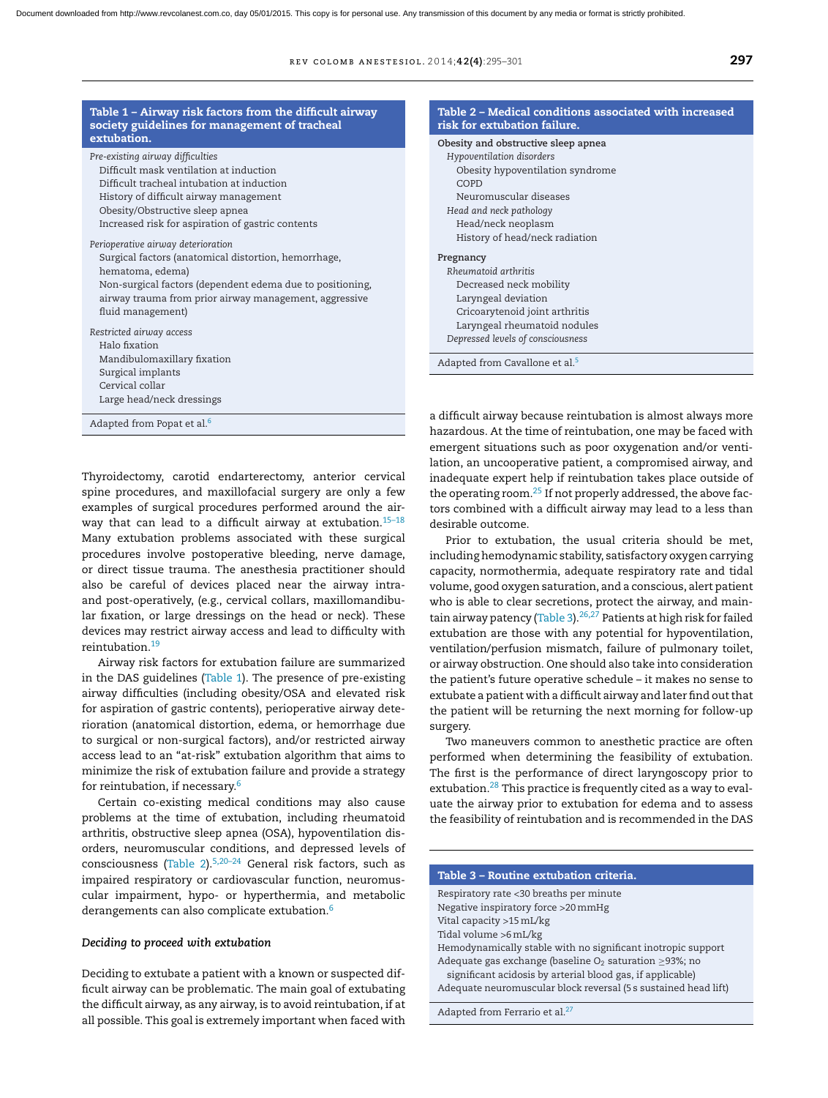| Table 1 - Airway risk factors from the difficult airway<br>society guidelines for management of tracheal<br>extubation. |
|-------------------------------------------------------------------------------------------------------------------------|
| Pre-existing airway difficulties                                                                                        |
| Difficult mask ventilation at induction                                                                                 |
| Difficult tracheal intubation at induction                                                                              |

- History of difficult airway management Obesity/Obstructive sleep apnea Increased risk for aspiration of gastric contents
- *Perioperative airway deterioration* Surgical factors (anatomical distortion, hemorrhage, hematoma, edema) Non-surgical factors (dependent edema due to positioning, airway trauma from prior airway management, aggressive fluid management) *Restricted airway access* Halo fixation
- Mandibulomaxillary fixation Surgical implants Cervical collar Large head/neck dressings

Adapted from Popat et al.<sup>6</sup>

Thyroidectomy, carotid endarterectomy, anterior cervical spine procedures, and maxillofacial surgery are only a few examples of surgical procedures performed around the airway that can lead to a difficult airway at extubation.<sup>15-18</sup> Many extubation problems associated with these surgical procedures involve postoperative bleeding, nerve damage, or direct tissue trauma. The anesthesia practitioner should also be careful of devices placed near the airway intraand post-operatively, (e.g., cervical collars, maxillomandibular fixation, or large dressings on the head or neck). These devices may restrict airway access and lead to difficulty with reintubation.<sup>[19](#page-5-0)</sup>

Airway risk factors for extubation failure are summarized in the DAS guidelines (Table 1). The presence of pre-existing airway difficulties (including obesity/OSA and elevated risk for aspiration of gastric contents), perioperative airway deterioration (anatomical distortion, edema, or hemorrhage due to surgical or non-surgical factors), and/or restricted airway access lead to an "at-risk" extubation algorithm that aims to minimize the risk of extubation failure and provide a strategy for reintubation, if necessary[.6](#page-5-0)

Certain co-existing medical conditions may also cause problems at the time of extubation, including rheumatoid arthritis, obstructive sleep apnea (OSA), hypoventilation disorders, neuromuscular conditions, and depressed levels of consciousness (Table 2).[5,20–24](#page-5-0) General risk factors, such as impaired respiratory or cardiovascular function, neuromuscular impairment, hypo- or hyperthermia, and metabolic derangements can also complicate extubation.<sup>[6](#page-5-0)</sup>

#### *Deciding to proceed with extubation*

Deciding to extubate a patient with a known or suspected difficult airway can be problematic. The main goal of extubating the difficult airway, as any airway, is to avoid reintubation, if at all possible. This goal is extremely important when faced with

| Obesity and obstructive sleep apnea |
|-------------------------------------|
| Hypoventilation disorders           |
| Obesity hypoventilation syndrome    |
| COPD                                |
| Neuromuscular diseases              |
| Head and neck pathology             |
| Head/neck neoplasm                  |
| History of head/neck radiation      |
| Pregnancy                           |
| Rheumatoid arthritis                |
| Decreased neck mobility             |
| Laryngeal deviation                 |
| Cricoarytenoid joint arthritis      |
| Laryngeal rheumatoid nodules        |
| Depressed levels of consciousness   |

a difficult airway because reintubation is almost always more hazardous. At the time of reintubation, one may be faced with emergent situations such as poor oxygenation and/or ventilation, an uncooperative patient, a compromised airway, and inadequate expert help if reintubation takes place outside of the operating room. $^{25}$  If not properly addressed, the above factors combined with a difficult airway may lead to a less than desirable outcome.

Prior to extubation, the usual criteria should be met, including hemodynamic stability, satisfactory oxygen carrying capacity, normothermia, adequate respiratory rate and tidal volume, good oxygen saturation, and a conscious, alert patient who is able to clear secretions, protect the airway, and main-tain airway patency (Table 3). <sup>[26,27](#page-5-0)</sup> Patients at high risk for failed extubation are those with any potential for hypoventilation, ventilation/perfusion mismatch, failure of pulmonary toilet, or airway obstruction. One should also take into consideration the patient's future operative schedule – it makes no sense to extubate a patient with a difficult airway and later find out that the patient will be returning the next morning for follow-up surgery.

Two maneuvers common to anesthetic practice are often performed when determining the feasibility of extubation. The first is the performance of direct laryngoscopy prior to extubation.<sup>[28](#page-5-0)</sup> This practice is frequently cited as a way to evaluate the airway prior to extubation for edema and to assess the feasibility of reintubation and is recommended in the DAS

| Table 3 – Routine extubation criteria.                                                                                                                                                                                                                                 |
|------------------------------------------------------------------------------------------------------------------------------------------------------------------------------------------------------------------------------------------------------------------------|
| Respiratory rate <30 breaths per minute<br>Negative inspiratory force >20 mmHg<br>Vital capacity >15 mL/kg<br>Tidal volume >6 mL/kg<br>Hemodynamically stable with no significant inotropic support<br>Adequate gas exchange (baseline $O_2$ saturation $\geq$ 93%; no |
| significant acidosis by arterial blood gas, if applicable)<br>Adequate neuromuscular block reversal (5 s sustained head lift)                                                                                                                                          |
|                                                                                                                                                                                                                                                                        |

Adapted from Ferrario et al.<sup>2</sup>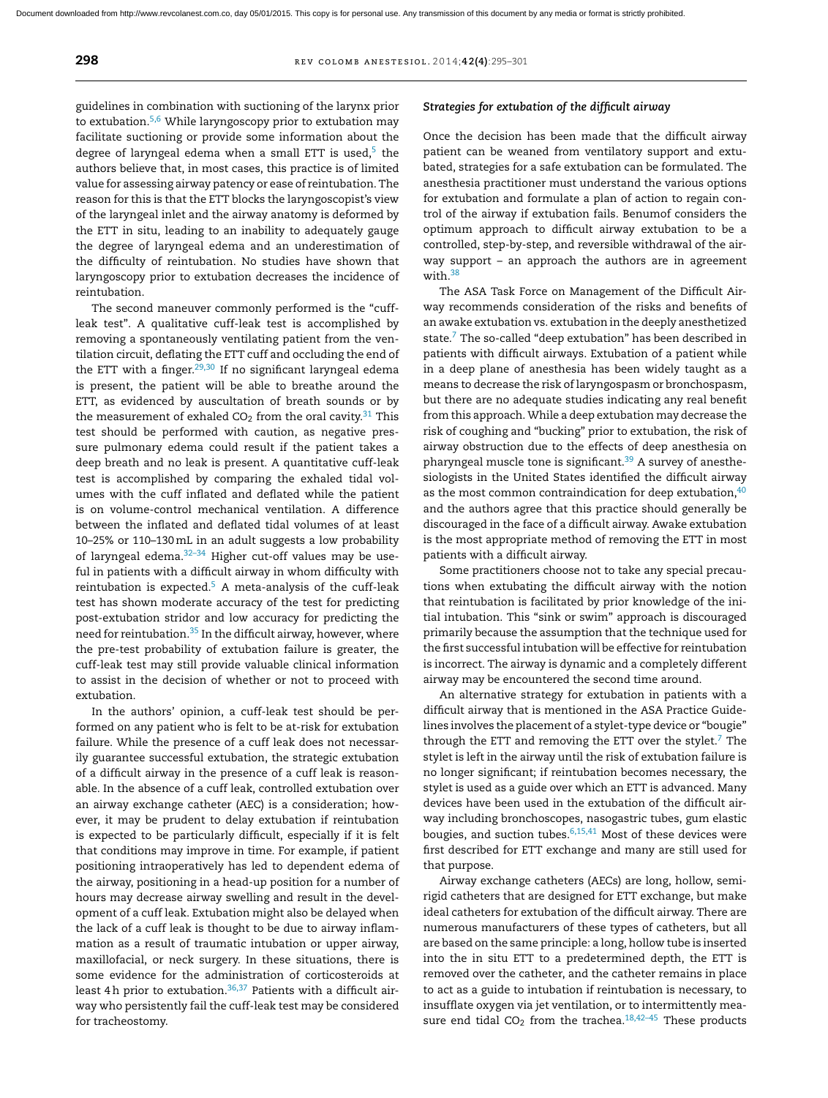guidelines in combination with suctioning of the larynx prior to extubation. $5,6$  While laryngoscopy prior to extubation may facilitate suctioning or provide some information about the degree of laryngeal edema when a small ETT is used, $5$  the authors believe that, in most cases, this practice is of limited value for assessing airway patency or ease of reintubation. The reason for this is that the ETT blocks the laryngoscopist's view of the laryngeal inlet and the airway anatomy is deformed by the ETT in situ, leading to an inability to adequately gauge the degree of laryngeal edema and an underestimation of the difficulty of reintubation. No studies have shown that laryngoscopy prior to extubation decreases the incidence of reintubation.

The second maneuver commonly performed is the "cuffleak test". A qualitative cuff-leak test is accomplished by removing a spontaneously ventilating patient from the ventilation circuit, deflating the ETT cuff and occluding the end of the ETT with a finger. $29,30$  If no significant laryngeal edema is present, the patient will be able to breathe around the ETT, as evidenced by auscultation of breath sounds or by the measurement of exhaled  $CO<sub>2</sub>$  from the oral cavity.<sup>[31](#page-5-0)</sup> This test should be performed with caution, as negative pressure pulmonary edema could result if the patient takes a deep breath and no leak is present. A quantitative cuff-leak test is accomplished by comparing the exhaled tidal volumes with the cuff inflated and deflated while the patient is on volume-control mechanical ventilation. A difference between the inflated and deflated tidal volumes of at least 10–25% or 110–130mL in an adult suggests a low probability of laryngeal edema. $32-34$  Higher cut-off values may be useful in patients with a difficult airway in whom difficulty with reintubation is expected. $5$  A meta-analysis of the cuff-leak test has shown moderate accuracy of the test for predicting post-extubation stridor and low accuracy for predicting the need for reintubation.<sup>[35](#page-5-0)</sup> In the difficult airway, however, where the pre-test probability of extubation failure is greater, the cuff-leak test may still provide valuable clinical information to assist in the decision of whether or not to proceed with extubation.

In the authors' opinion, a cuff-leak test should be performed on any patient who is felt to be at-risk for extubation failure. While the presence of a cuff leak does not necessarily guarantee successful extubation, the strategic extubation of a difficult airway in the presence of a cuff leak is reasonable. In the absence of a cuff leak, controlled extubation over an airway exchange catheter (AEC) is a consideration; however, it may be prudent to delay extubation if reintubation is expected to be particularly difficult, especially if it is felt that conditions may improve in time. For example, if patient positioning intraoperatively has led to dependent edema of the airway, positioning in a head-up position for a number of hours may decrease airway swelling and result in the development of a cuff leak. Extubation might also be delayed when the lack of a cuff leak is thought to be due to airway inflammation as a result of traumatic intubation or upper airway, maxillofacial, or neck surgery. In these situations, there is some evidence for the administration of corticosteroids at least 4h prior to extubation.<sup>[36,37](#page-5-0)</sup> Patients with a difficult airway who persistently fail the cuff-leak test may be considered for tracheostomy.

#### *Strategies for extubation of the difficult airway*

Once the decision has been made that the difficult airway patient can be weaned from ventilatory support and extubated, strategies for a safe extubation can be formulated. The anesthesia practitioner must understand the various options for extubation and formulate a plan of action to regain control of the airway if extubation fails. Benumof considers the optimum approach to difficult airway extubation to be a controlled, step-by-step, and reversible withdrawal of the airway support – an approach the authors are in agreement with[.38](#page-6-0)

The ASA Task Force on Management of the Difficult Airway recommends consideration of the risks and benefits of an awake extubation vs. extubation in the deeply anesthetized state.[7](#page-5-0) The so-called "deep extubation" has been described in patients with difficult airways. Extubation of a patient while in a deep plane of anesthesia has been widely taught as a means to decrease the risk of laryngospasm or bronchospasm, but there are no adequate studies indicating any real benefit from this approach. While a deep extubation may decrease the risk of coughing and "bucking" prior to extubation, the risk of airway obstruction due to the effects of deep anesthesia on pharyngeal muscle tone is significant.<sup>39</sup> A survey of anesthesiologists in the United States identified the difficult airway as the most common contraindication for deep extubation, $40$ and the authors agree that this practice should generally be discouraged in the face of a difficult airway. Awake extubation is the most appropriate method of removing the ETT in most patients with a difficult airway.

Some practitioners choose not to take any special precautions when extubating the difficult airway with the notion that reintubation is facilitated by prior knowledge of the initial intubation. This "sink or swim" approach is discouraged primarily because the assumption that the technique used for the first successful intubation will be effective for reintubation is incorrect. The airway is dynamic and a completely different airway may be encountered the second time around.

An alternative strategy for extubation in patients with a difficult airway that is mentioned in the ASA Practice Guidelines involves the placement of a stylet-type device or "bougie" through the ETT and removing the ETT over the stylet. $7$  The stylet is left in the airway until the risk of extubation failure is no longer significant; if reintubation becomes necessary, the stylet is used as a guide over which an ETT is advanced. Many devices have been used in the extubation of the difficult airway including bronchoscopes, nasogastric tubes, gum elastic bougies, and suction tubes.<sup>[6,15,41](#page-5-0)</sup> Most of these devices were first described for ETT exchange and many are still used for that purpose.

Airway exchange catheters (AECs) are long, hollow, semirigid catheters that are designed for ETT exchange, but make ideal catheters for extubation of the difficult airway. There are numerous manufacturers of these types of catheters, but all are based on the same principle: a long, hollow tube is inserted into the in situ ETT to a predetermined depth, the ETT is removed over the catheter, and the catheter remains in place to act as a guide to intubation if reintubation is necessary, to insufflate oxygen via jet ventilation, or to intermittently measure end tidal  $CO<sub>2</sub>$  from the trachea.<sup>18,42–45</sup> These products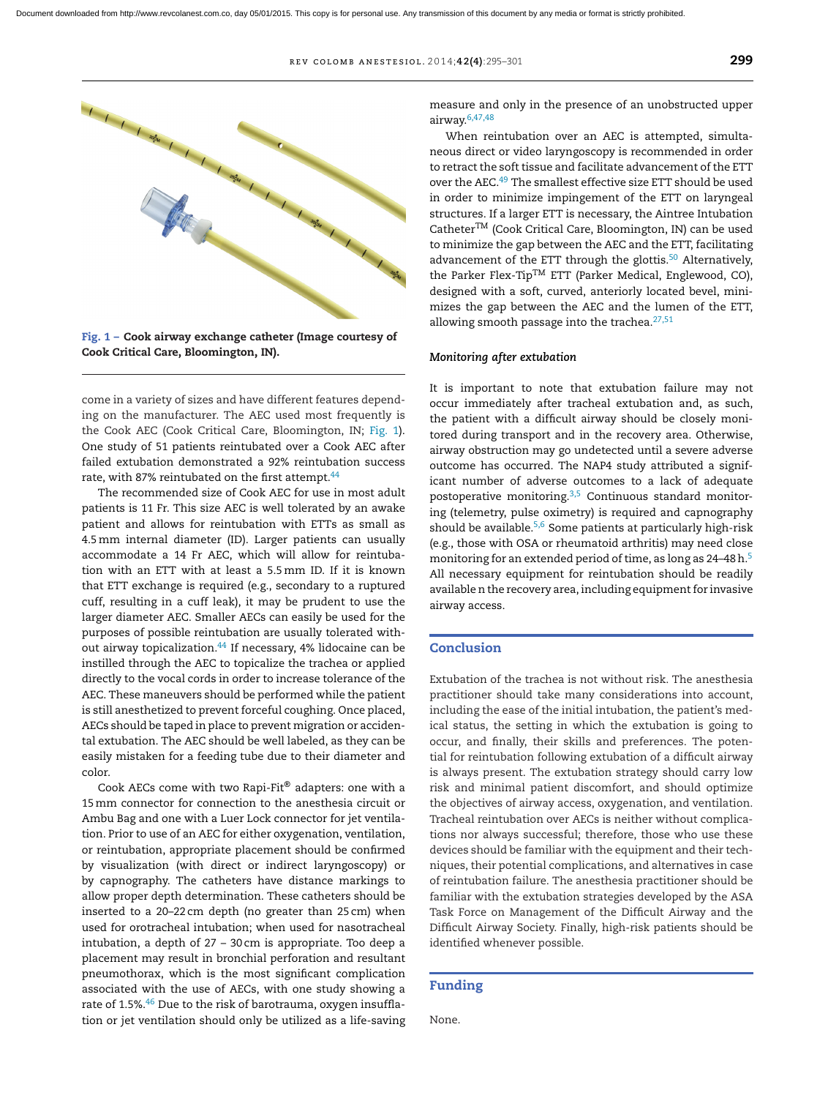

**Cook Critical Care, Bloomington, IN).**

come in a variety of sizes and have different features depending on the manufacturer. The AEC used most frequently is the Cook AEC (Cook Critical Care, Bloomington, IN; Fig. 1). One study of 51 patients reintubated over a Cook AEC after failed extubation demonstrated a 92% reintubation success rate, with 87% reintubated on the first attempt.<sup>[44](#page-6-0)</sup>

The recommended size of Cook AEC for use in most adult patients is 11 Fr. This size AEC is well tolerated by an awake patient and allows for reintubation with ETTs as small as 4.5mm internal diameter (ID). Larger patients can usually accommodate a 14 Fr AEC, which will allow for reintubation with an ETT with at least a 5.5mm ID. If it is known that ETT exchange is required (e.g., secondary to a ruptured cuff, resulting in a cuff leak), it may be prudent to use the larger diameter AEC. Smaller AECs can easily be used for the purposes of possible reintubation are usually tolerated without airway topicalization.<sup>44</sup> If necessary, 4% lidocaine can be instilled through the AEC to topicalize the trachea or applied directly to the vocal cords in order to increase tolerance of the AEC. These maneuvers should be performed while the patient is still anesthetized to prevent forceful coughing. Once placed, AECs should be taped in place to prevent migration or accidental extubation. The AEC should be well labeled, as they can be easily mistaken for a feeding tube due to their diameter and color.

Cook AECs come with two Rapi-Fit® adapters: one with a 15mm connector for connection to the anesthesia circuit or Ambu Bag and one with a Luer Lock connector for jet ventilation. Prior to use of an AEC for either oxygenation, ventilation, or reintubation, appropriate placement should be confirmed by visualization (with direct or indirect laryngoscopy) or by capnography. The catheters have distance markings to allow proper depth determination. These catheters should be inserted to a 20–22 cm depth (no greater than 25 cm) when used for orotracheal intubation; when used for nasotracheal intubation, a depth of 27 – 30 cm is appropriate. Too deep a placement may result in bronchial perforation and resultant pneumothorax, which is the most significant complication associated with the use of AECs, with one study showing a rate of 1.5%.<sup>46</sup> Due to the risk of barotrauma, oxygen insufflation or jet ventilation should only be utilized as a life-saving measure and only in the presence of an unobstructed upper airway.[6,47,48](#page-5-0)

When reintubation over an AEC is attempted, simultaneous direct or video laryngoscopy is recommended in order to retract the soft tissue and facilitate advancement of the ETT over the AEC.<sup>49</sup> The smallest effective size ETT should be used in order to minimize impingement of the ETT on laryngeal structures. If a larger ETT is necessary, the Aintree Intubation CatheterTM (Cook Critical Care, Bloomington, IN) can be used to minimize the gap between the AEC and the ETT, facilitating advancement of the ETT through the glottis.<sup>[50](#page-6-0)</sup> Alternatively, the Parker Flex-Tip<sup>TM</sup> ETT (Parker Medical, Englewood, CO), designed with a soft, curved, anteriorly located bevel, minimizes the gap between the AEC and the lumen of the ETT, allowing smooth passage into the trachea. $27,51$ 

#### *Monitoring after extubation*

It is important to note that extubation failure may not occur immediately after tracheal extubation and, as such, the patient with a difficult airway should be closely monitored during transport and in the recovery area. Otherwise, airway obstruction may go undetected until a severe adverse outcome has occurred. The NAP4 study attributed a significant number of adverse outcomes to a lack of adequate postoperative monitoring.<sup>[3,5](#page-5-0)</sup> Continuous standard monitoring (telemetry, pulse oximetry) is required and capnography should be available.<sup>[5,6](#page-5-0)</sup> Some patients at particularly high-risk (e.g., those with OSA or rheumatoid arthritis) may need close monitoring for an extended period of time, as long as 24–48 h.<sup>5</sup> All necessary equipment for reintubation should be readily available n the recovery area, including equipment for invasive airway access.

# **Conclusion**

Extubation of the trachea is not without risk. The anesthesia practitioner should take many considerations into account, including the ease of the initial intubation, the patient's medical status, the setting in which the extubation is going to occur, and finally, their skills and preferences. The potential for reintubation following extubation of a difficult airway is always present. The extubation strategy should carry low risk and minimal patient discomfort, and should optimize the objectives of airway access, oxygenation, and ventilation. Tracheal reintubation over AECs is neither without complications nor always successful; therefore, those who use these devices should be familiar with the equipment and their techniques, their potential complications, and alternatives in case of reintubation failure. The anesthesia practitioner should be familiar with the extubation strategies developed by the ASA Task Force on Management of the Difficult Airway and the Difficult Airway Society. Finally, high-risk patients should be identified whenever possible.

# **Funding**

None.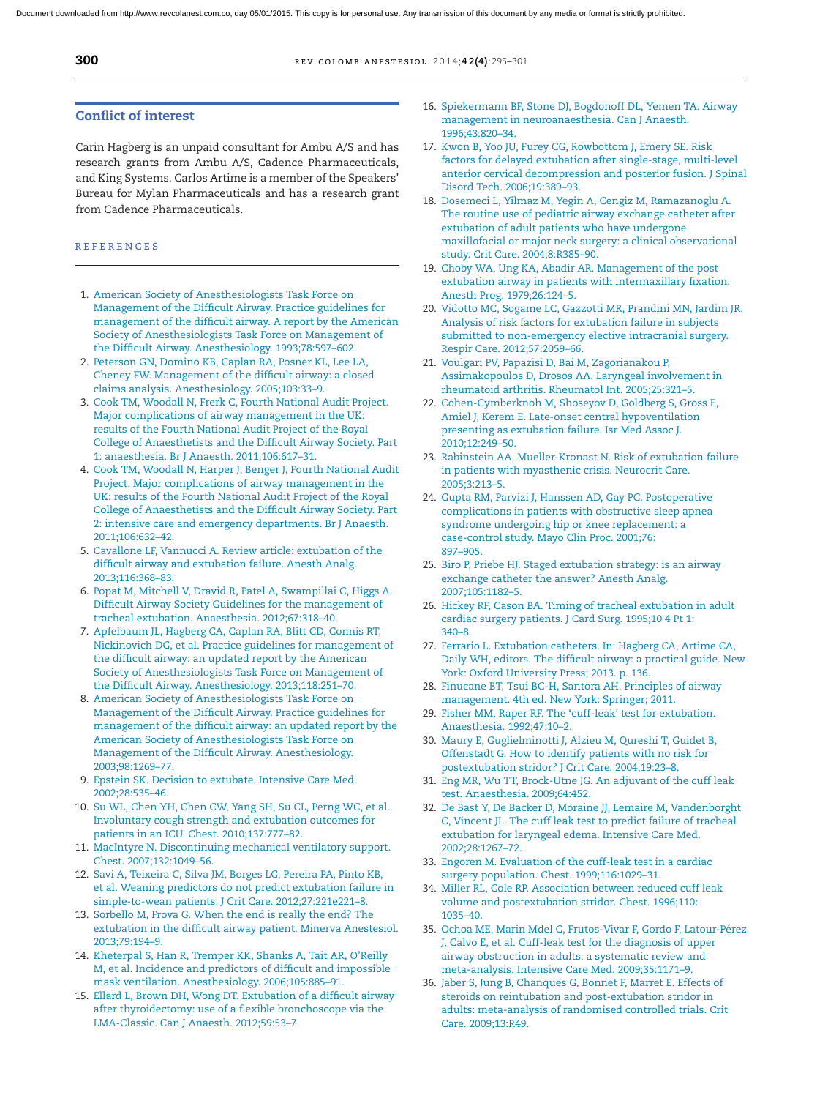# <span id="page-5-0"></span>**Conflict of interest**

Carin Hagberg is an unpaid consultant for Ambu A/S and has research grants from Ambu A/S, Cadence Pharmaceuticals, and King Systems. Carlos Artime is a member of the Speakers' Bureau for Mylan Pharmaceuticals and has a research grant from Cadence Pharmaceuticals.

#### r e f e r enc e s

- 1. [American](http://refhub.elsevier.com/S2256-2087(14)00073-X/sbref0005) [Society](http://refhub.elsevier.com/S2256-2087(14)00073-X/sbref0005) [of](http://refhub.elsevier.com/S2256-2087(14)00073-X/sbref0005) [Anesthesiologists](http://refhub.elsevier.com/S2256-2087(14)00073-X/sbref0005) [Task](http://refhub.elsevier.com/S2256-2087(14)00073-X/sbref0005) [Force](http://refhub.elsevier.com/S2256-2087(14)00073-X/sbref0005) [on](http://refhub.elsevier.com/S2256-2087(14)00073-X/sbref0005) [Management](http://refhub.elsevier.com/S2256-2087(14)00073-X/sbref0005) [of](http://refhub.elsevier.com/S2256-2087(14)00073-X/sbref0005) [the](http://refhub.elsevier.com/S2256-2087(14)00073-X/sbref0005) [Difficult](http://refhub.elsevier.com/S2256-2087(14)00073-X/sbref0005) [Airway.](http://refhub.elsevier.com/S2256-2087(14)00073-X/sbref0005) [Practice](http://refhub.elsevier.com/S2256-2087(14)00073-X/sbref0005) [guidelines](http://refhub.elsevier.com/S2256-2087(14)00073-X/sbref0005) [for](http://refhub.elsevier.com/S2256-2087(14)00073-X/sbref0005) [management](http://refhub.elsevier.com/S2256-2087(14)00073-X/sbref0005) [of](http://refhub.elsevier.com/S2256-2087(14)00073-X/sbref0005) [the](http://refhub.elsevier.com/S2256-2087(14)00073-X/sbref0005) [difficult](http://refhub.elsevier.com/S2256-2087(14)00073-X/sbref0005) [airway.](http://refhub.elsevier.com/S2256-2087(14)00073-X/sbref0005) [A](http://refhub.elsevier.com/S2256-2087(14)00073-X/sbref0005) [report](http://refhub.elsevier.com/S2256-2087(14)00073-X/sbref0005) [by](http://refhub.elsevier.com/S2256-2087(14)00073-X/sbref0005) [the](http://refhub.elsevier.com/S2256-2087(14)00073-X/sbref0005) [American](http://refhub.elsevier.com/S2256-2087(14)00073-X/sbref0005) [Society](http://refhub.elsevier.com/S2256-2087(14)00073-X/sbref0005) [of](http://refhub.elsevier.com/S2256-2087(14)00073-X/sbref0005) [Anesthesiologists](http://refhub.elsevier.com/S2256-2087(14)00073-X/sbref0005) [Task](http://refhub.elsevier.com/S2256-2087(14)00073-X/sbref0005) [Force](http://refhub.elsevier.com/S2256-2087(14)00073-X/sbref0005) [on](http://refhub.elsevier.com/S2256-2087(14)00073-X/sbref0005) [Management](http://refhub.elsevier.com/S2256-2087(14)00073-X/sbref0005) [of](http://refhub.elsevier.com/S2256-2087(14)00073-X/sbref0005) [the](http://refhub.elsevier.com/S2256-2087(14)00073-X/sbref0005) [Difficult](http://refhub.elsevier.com/S2256-2087(14)00073-X/sbref0005) [Airway.](http://refhub.elsevier.com/S2256-2087(14)00073-X/sbref0005) [Anesthesiology.](http://refhub.elsevier.com/S2256-2087(14)00073-X/sbref0005) [1993;78:597–602.](http://refhub.elsevier.com/S2256-2087(14)00073-X/sbref0005)
- 2. [Peterson](http://refhub.elsevier.com/S2256-2087(14)00073-X/sbref0010) [GN,](http://refhub.elsevier.com/S2256-2087(14)00073-X/sbref0010) [Domino](http://refhub.elsevier.com/S2256-2087(14)00073-X/sbref0010) [KB,](http://refhub.elsevier.com/S2256-2087(14)00073-X/sbref0010) [Caplan](http://refhub.elsevier.com/S2256-2087(14)00073-X/sbref0010) [RA,](http://refhub.elsevier.com/S2256-2087(14)00073-X/sbref0010) [Posner](http://refhub.elsevier.com/S2256-2087(14)00073-X/sbref0010) [KL,](http://refhub.elsevier.com/S2256-2087(14)00073-X/sbref0010) [Lee](http://refhub.elsevier.com/S2256-2087(14)00073-X/sbref0010) [LA,](http://refhub.elsevier.com/S2256-2087(14)00073-X/sbref0010) [Cheney](http://refhub.elsevier.com/S2256-2087(14)00073-X/sbref0010) [FW.](http://refhub.elsevier.com/S2256-2087(14)00073-X/sbref0010) [Management](http://refhub.elsevier.com/S2256-2087(14)00073-X/sbref0010) [of](http://refhub.elsevier.com/S2256-2087(14)00073-X/sbref0010) [the](http://refhub.elsevier.com/S2256-2087(14)00073-X/sbref0010) [difficult](http://refhub.elsevier.com/S2256-2087(14)00073-X/sbref0010) [airway:](http://refhub.elsevier.com/S2256-2087(14)00073-X/sbref0010) [a](http://refhub.elsevier.com/S2256-2087(14)00073-X/sbref0010) [closed](http://refhub.elsevier.com/S2256-2087(14)00073-X/sbref0010) [claims](http://refhub.elsevier.com/S2256-2087(14)00073-X/sbref0010) [analysis.](http://refhub.elsevier.com/S2256-2087(14)00073-X/sbref0010) [Anesthesiology.](http://refhub.elsevier.com/S2256-2087(14)00073-X/sbref0010) [2005;103:33–9.](http://refhub.elsevier.com/S2256-2087(14)00073-X/sbref0010)
- 3. [Cook](http://refhub.elsevier.com/S2256-2087(14)00073-X/sbref0015) [TM,](http://refhub.elsevier.com/S2256-2087(14)00073-X/sbref0015) [Woodall](http://refhub.elsevier.com/S2256-2087(14)00073-X/sbref0015) [N,](http://refhub.elsevier.com/S2256-2087(14)00073-X/sbref0015) [Frerk](http://refhub.elsevier.com/S2256-2087(14)00073-X/sbref0015) [C,](http://refhub.elsevier.com/S2256-2087(14)00073-X/sbref0015) [Fourth](http://refhub.elsevier.com/S2256-2087(14)00073-X/sbref0015) [National](http://refhub.elsevier.com/S2256-2087(14)00073-X/sbref0015) [Audit](http://refhub.elsevier.com/S2256-2087(14)00073-X/sbref0015) [Project.](http://refhub.elsevier.com/S2256-2087(14)00073-X/sbref0015) [Major](http://refhub.elsevier.com/S2256-2087(14)00073-X/sbref0015) [complications](http://refhub.elsevier.com/S2256-2087(14)00073-X/sbref0015) [of](http://refhub.elsevier.com/S2256-2087(14)00073-X/sbref0015) [airway](http://refhub.elsevier.com/S2256-2087(14)00073-X/sbref0015) [management](http://refhub.elsevier.com/S2256-2087(14)00073-X/sbref0015) [in](http://refhub.elsevier.com/S2256-2087(14)00073-X/sbref0015) [the](http://refhub.elsevier.com/S2256-2087(14)00073-X/sbref0015) [UK:](http://refhub.elsevier.com/S2256-2087(14)00073-X/sbref0015) [results](http://refhub.elsevier.com/S2256-2087(14)00073-X/sbref0015) [of](http://refhub.elsevier.com/S2256-2087(14)00073-X/sbref0015) [the](http://refhub.elsevier.com/S2256-2087(14)00073-X/sbref0015) [Fourth](http://refhub.elsevier.com/S2256-2087(14)00073-X/sbref0015) [National](http://refhub.elsevier.com/S2256-2087(14)00073-X/sbref0015) [Audit](http://refhub.elsevier.com/S2256-2087(14)00073-X/sbref0015) [Project](http://refhub.elsevier.com/S2256-2087(14)00073-X/sbref0015) [of](http://refhub.elsevier.com/S2256-2087(14)00073-X/sbref0015) [the](http://refhub.elsevier.com/S2256-2087(14)00073-X/sbref0015) [Royal](http://refhub.elsevier.com/S2256-2087(14)00073-X/sbref0015) [College](http://refhub.elsevier.com/S2256-2087(14)00073-X/sbref0015) [of](http://refhub.elsevier.com/S2256-2087(14)00073-X/sbref0015) [Anaesthetists](http://refhub.elsevier.com/S2256-2087(14)00073-X/sbref0015) [and](http://refhub.elsevier.com/S2256-2087(14)00073-X/sbref0015) [the](http://refhub.elsevier.com/S2256-2087(14)00073-X/sbref0015) [Difficult](http://refhub.elsevier.com/S2256-2087(14)00073-X/sbref0015) [Airway](http://refhub.elsevier.com/S2256-2087(14)00073-X/sbref0015) [Society.](http://refhub.elsevier.com/S2256-2087(14)00073-X/sbref0015) [Part](http://refhub.elsevier.com/S2256-2087(14)00073-X/sbref0015) [1:](http://refhub.elsevier.com/S2256-2087(14)00073-X/sbref0015) [anaesthesia.](http://refhub.elsevier.com/S2256-2087(14)00073-X/sbref0015) [Br](http://refhub.elsevier.com/S2256-2087(14)00073-X/sbref0015) [J](http://refhub.elsevier.com/S2256-2087(14)00073-X/sbref0015) [Anaesth.](http://refhub.elsevier.com/S2256-2087(14)00073-X/sbref0015) [2011;106:617](http://refhub.elsevier.com/S2256-2087(14)00073-X/sbref0015)–[31.](http://refhub.elsevier.com/S2256-2087(14)00073-X/sbref0015)
- 4. [Cook](http://refhub.elsevier.com/S2256-2087(14)00073-X/sbref0020) [TM,](http://refhub.elsevier.com/S2256-2087(14)00073-X/sbref0020) [Woodall](http://refhub.elsevier.com/S2256-2087(14)00073-X/sbref0020) [N,](http://refhub.elsevier.com/S2256-2087(14)00073-X/sbref0020) [Harper](http://refhub.elsevier.com/S2256-2087(14)00073-X/sbref0020) [J,](http://refhub.elsevier.com/S2256-2087(14)00073-X/sbref0020) [Benger](http://refhub.elsevier.com/S2256-2087(14)00073-X/sbref0020) [J,](http://refhub.elsevier.com/S2256-2087(14)00073-X/sbref0020) [Fourth](http://refhub.elsevier.com/S2256-2087(14)00073-X/sbref0020) [National](http://refhub.elsevier.com/S2256-2087(14)00073-X/sbref0020) [Audit](http://refhub.elsevier.com/S2256-2087(14)00073-X/sbref0020) [Project.](http://refhub.elsevier.com/S2256-2087(14)00073-X/sbref0020) [Major](http://refhub.elsevier.com/S2256-2087(14)00073-X/sbref0020) [complications](http://refhub.elsevier.com/S2256-2087(14)00073-X/sbref0020) [of](http://refhub.elsevier.com/S2256-2087(14)00073-X/sbref0020) [airway](http://refhub.elsevier.com/S2256-2087(14)00073-X/sbref0020) [management](http://refhub.elsevier.com/S2256-2087(14)00073-X/sbref0020) [in](http://refhub.elsevier.com/S2256-2087(14)00073-X/sbref0020) [the](http://refhub.elsevier.com/S2256-2087(14)00073-X/sbref0020) [UK:](http://refhub.elsevier.com/S2256-2087(14)00073-X/sbref0020) [results](http://refhub.elsevier.com/S2256-2087(14)00073-X/sbref0020) [of](http://refhub.elsevier.com/S2256-2087(14)00073-X/sbref0020) [the](http://refhub.elsevier.com/S2256-2087(14)00073-X/sbref0020) [Fourth](http://refhub.elsevier.com/S2256-2087(14)00073-X/sbref0020) [National](http://refhub.elsevier.com/S2256-2087(14)00073-X/sbref0020) [Audit](http://refhub.elsevier.com/S2256-2087(14)00073-X/sbref0020) [Project](http://refhub.elsevier.com/S2256-2087(14)00073-X/sbref0020) [of](http://refhub.elsevier.com/S2256-2087(14)00073-X/sbref0020) [the](http://refhub.elsevier.com/S2256-2087(14)00073-X/sbref0020) [Royal](http://refhub.elsevier.com/S2256-2087(14)00073-X/sbref0020) [College](http://refhub.elsevier.com/S2256-2087(14)00073-X/sbref0020) [of](http://refhub.elsevier.com/S2256-2087(14)00073-X/sbref0020) [Anaesthetists](http://refhub.elsevier.com/S2256-2087(14)00073-X/sbref0020) [and](http://refhub.elsevier.com/S2256-2087(14)00073-X/sbref0020) [the](http://refhub.elsevier.com/S2256-2087(14)00073-X/sbref0020) [Difficult](http://refhub.elsevier.com/S2256-2087(14)00073-X/sbref0020) [Airway](http://refhub.elsevier.com/S2256-2087(14)00073-X/sbref0020) [Society.](http://refhub.elsevier.com/S2256-2087(14)00073-X/sbref0020) [Part](http://refhub.elsevier.com/S2256-2087(14)00073-X/sbref0020) [2:](http://refhub.elsevier.com/S2256-2087(14)00073-X/sbref0020) [intensive](http://refhub.elsevier.com/S2256-2087(14)00073-X/sbref0020) [care](http://refhub.elsevier.com/S2256-2087(14)00073-X/sbref0020) [and](http://refhub.elsevier.com/S2256-2087(14)00073-X/sbref0020) [emergency](http://refhub.elsevier.com/S2256-2087(14)00073-X/sbref0020) [departments.](http://refhub.elsevier.com/S2256-2087(14)00073-X/sbref0020) [Br](http://refhub.elsevier.com/S2256-2087(14)00073-X/sbref0020) [J](http://refhub.elsevier.com/S2256-2087(14)00073-X/sbref0020) [Anaesth.](http://refhub.elsevier.com/S2256-2087(14)00073-X/sbref0020) [2011;106:632–42.](http://refhub.elsevier.com/S2256-2087(14)00073-X/sbref0020)
- 5. [Cavallone](http://refhub.elsevier.com/S2256-2087(14)00073-X/sbref0025) [LF,](http://refhub.elsevier.com/S2256-2087(14)00073-X/sbref0025) [Vannucci](http://refhub.elsevier.com/S2256-2087(14)00073-X/sbref0025) [A.](http://refhub.elsevier.com/S2256-2087(14)00073-X/sbref0025) [Review](http://refhub.elsevier.com/S2256-2087(14)00073-X/sbref0025) [article:](http://refhub.elsevier.com/S2256-2087(14)00073-X/sbref0025) [extubation](http://refhub.elsevier.com/S2256-2087(14)00073-X/sbref0025) [of](http://refhub.elsevier.com/S2256-2087(14)00073-X/sbref0025) [the](http://refhub.elsevier.com/S2256-2087(14)00073-X/sbref0025) [difficult](http://refhub.elsevier.com/S2256-2087(14)00073-X/sbref0025) [airway](http://refhub.elsevier.com/S2256-2087(14)00073-X/sbref0025) [and](http://refhub.elsevier.com/S2256-2087(14)00073-X/sbref0025) [extubation](http://refhub.elsevier.com/S2256-2087(14)00073-X/sbref0025) [failure.](http://refhub.elsevier.com/S2256-2087(14)00073-X/sbref0025) [Anesth](http://refhub.elsevier.com/S2256-2087(14)00073-X/sbref0025) [Analg.](http://refhub.elsevier.com/S2256-2087(14)00073-X/sbref0025) [2013;116:368–83.](http://refhub.elsevier.com/S2256-2087(14)00073-X/sbref0025)
- 6. [Popat](http://refhub.elsevier.com/S2256-2087(14)00073-X/sbref0030) [M,](http://refhub.elsevier.com/S2256-2087(14)00073-X/sbref0030) [Mitchell](http://refhub.elsevier.com/S2256-2087(14)00073-X/sbref0030) [V,](http://refhub.elsevier.com/S2256-2087(14)00073-X/sbref0030) [Dravid](http://refhub.elsevier.com/S2256-2087(14)00073-X/sbref0030) [R,](http://refhub.elsevier.com/S2256-2087(14)00073-X/sbref0030) [Patel](http://refhub.elsevier.com/S2256-2087(14)00073-X/sbref0030) [A,](http://refhub.elsevier.com/S2256-2087(14)00073-X/sbref0030) [Swampillai](http://refhub.elsevier.com/S2256-2087(14)00073-X/sbref0030) [C,](http://refhub.elsevier.com/S2256-2087(14)00073-X/sbref0030) [Higgs](http://refhub.elsevier.com/S2256-2087(14)00073-X/sbref0030) [A.](http://refhub.elsevier.com/S2256-2087(14)00073-X/sbref0030) [Difficult](http://refhub.elsevier.com/S2256-2087(14)00073-X/sbref0030) [Airway](http://refhub.elsevier.com/S2256-2087(14)00073-X/sbref0030) [Society](http://refhub.elsevier.com/S2256-2087(14)00073-X/sbref0030) [Guidelines](http://refhub.elsevier.com/S2256-2087(14)00073-X/sbref0030) [for](http://refhub.elsevier.com/S2256-2087(14)00073-X/sbref0030) [the](http://refhub.elsevier.com/S2256-2087(14)00073-X/sbref0030) [management](http://refhub.elsevier.com/S2256-2087(14)00073-X/sbref0030) [of](http://refhub.elsevier.com/S2256-2087(14)00073-X/sbref0030) [tracheal](http://refhub.elsevier.com/S2256-2087(14)00073-X/sbref0030) [extubation.](http://refhub.elsevier.com/S2256-2087(14)00073-X/sbref0030) [Anaesthesia.](http://refhub.elsevier.com/S2256-2087(14)00073-X/sbref0030) [2012;67:318–40.](http://refhub.elsevier.com/S2256-2087(14)00073-X/sbref0030)
- 7. [Apfelbaum](http://refhub.elsevier.com/S2256-2087(14)00073-X/sbref0035) [JL,](http://refhub.elsevier.com/S2256-2087(14)00073-X/sbref0035) [Hagberg](http://refhub.elsevier.com/S2256-2087(14)00073-X/sbref0035) [CA,](http://refhub.elsevier.com/S2256-2087(14)00073-X/sbref0035) [Caplan](http://refhub.elsevier.com/S2256-2087(14)00073-X/sbref0035) [RA,](http://refhub.elsevier.com/S2256-2087(14)00073-X/sbref0035) [Blitt](http://refhub.elsevier.com/S2256-2087(14)00073-X/sbref0035) [CD,](http://refhub.elsevier.com/S2256-2087(14)00073-X/sbref0035) [Connis](http://refhub.elsevier.com/S2256-2087(14)00073-X/sbref0035) [RT,](http://refhub.elsevier.com/S2256-2087(14)00073-X/sbref0035) [Nickinovich](http://refhub.elsevier.com/S2256-2087(14)00073-X/sbref0035) [DG,](http://refhub.elsevier.com/S2256-2087(14)00073-X/sbref0035) [et](http://refhub.elsevier.com/S2256-2087(14)00073-X/sbref0035) [al.](http://refhub.elsevier.com/S2256-2087(14)00073-X/sbref0035) [Practice](http://refhub.elsevier.com/S2256-2087(14)00073-X/sbref0035) [guidelines](http://refhub.elsevier.com/S2256-2087(14)00073-X/sbref0035) [for](http://refhub.elsevier.com/S2256-2087(14)00073-X/sbref0035) [management](http://refhub.elsevier.com/S2256-2087(14)00073-X/sbref0035) [of](http://refhub.elsevier.com/S2256-2087(14)00073-X/sbref0035) [the](http://refhub.elsevier.com/S2256-2087(14)00073-X/sbref0035) [difficult](http://refhub.elsevier.com/S2256-2087(14)00073-X/sbref0035) [airway:](http://refhub.elsevier.com/S2256-2087(14)00073-X/sbref0035) [an](http://refhub.elsevier.com/S2256-2087(14)00073-X/sbref0035) [updated](http://refhub.elsevier.com/S2256-2087(14)00073-X/sbref0035) [report](http://refhub.elsevier.com/S2256-2087(14)00073-X/sbref0035) [by](http://refhub.elsevier.com/S2256-2087(14)00073-X/sbref0035) [the](http://refhub.elsevier.com/S2256-2087(14)00073-X/sbref0035) [American](http://refhub.elsevier.com/S2256-2087(14)00073-X/sbref0035) [Society](http://refhub.elsevier.com/S2256-2087(14)00073-X/sbref0035) [of](http://refhub.elsevier.com/S2256-2087(14)00073-X/sbref0035) [Anesthesiologists](http://refhub.elsevier.com/S2256-2087(14)00073-X/sbref0035) [Task](http://refhub.elsevier.com/S2256-2087(14)00073-X/sbref0035) [Force](http://refhub.elsevier.com/S2256-2087(14)00073-X/sbref0035) [on](http://refhub.elsevier.com/S2256-2087(14)00073-X/sbref0035) [Management](http://refhub.elsevier.com/S2256-2087(14)00073-X/sbref0035) [of](http://refhub.elsevier.com/S2256-2087(14)00073-X/sbref0035) [the](http://refhub.elsevier.com/S2256-2087(14)00073-X/sbref0035) [Difficult](http://refhub.elsevier.com/S2256-2087(14)00073-X/sbref0035) [Airway.](http://refhub.elsevier.com/S2256-2087(14)00073-X/sbref0035) [Anesthesiology.](http://refhub.elsevier.com/S2256-2087(14)00073-X/sbref0035) [2013;118:251–70.](http://refhub.elsevier.com/S2256-2087(14)00073-X/sbref0035)
- 8. [American](http://refhub.elsevier.com/S2256-2087(14)00073-X/sbref0040) [Society](http://refhub.elsevier.com/S2256-2087(14)00073-X/sbref0040) [of](http://refhub.elsevier.com/S2256-2087(14)00073-X/sbref0040) [Anesthesiologists](http://refhub.elsevier.com/S2256-2087(14)00073-X/sbref0040) [Task](http://refhub.elsevier.com/S2256-2087(14)00073-X/sbref0040) [Force](http://refhub.elsevier.com/S2256-2087(14)00073-X/sbref0040) [on](http://refhub.elsevier.com/S2256-2087(14)00073-X/sbref0040) [Management](http://refhub.elsevier.com/S2256-2087(14)00073-X/sbref0040) [of](http://refhub.elsevier.com/S2256-2087(14)00073-X/sbref0040) [the](http://refhub.elsevier.com/S2256-2087(14)00073-X/sbref0040) [Difficult](http://refhub.elsevier.com/S2256-2087(14)00073-X/sbref0040) [Airway.](http://refhub.elsevier.com/S2256-2087(14)00073-X/sbref0040) [Practice](http://refhub.elsevier.com/S2256-2087(14)00073-X/sbref0040) [guidelines](http://refhub.elsevier.com/S2256-2087(14)00073-X/sbref0040) [for](http://refhub.elsevier.com/S2256-2087(14)00073-X/sbref0040) [management](http://refhub.elsevier.com/S2256-2087(14)00073-X/sbref0040) [of](http://refhub.elsevier.com/S2256-2087(14)00073-X/sbref0040) [the](http://refhub.elsevier.com/S2256-2087(14)00073-X/sbref0040) [difficult](http://refhub.elsevier.com/S2256-2087(14)00073-X/sbref0040) [airway:](http://refhub.elsevier.com/S2256-2087(14)00073-X/sbref0040) [an](http://refhub.elsevier.com/S2256-2087(14)00073-X/sbref0040) [updated](http://refhub.elsevier.com/S2256-2087(14)00073-X/sbref0040) [report](http://refhub.elsevier.com/S2256-2087(14)00073-X/sbref0040) [by](http://refhub.elsevier.com/S2256-2087(14)00073-X/sbref0040) [the](http://refhub.elsevier.com/S2256-2087(14)00073-X/sbref0040) [American](http://refhub.elsevier.com/S2256-2087(14)00073-X/sbref0040) [Society](http://refhub.elsevier.com/S2256-2087(14)00073-X/sbref0040) [of](http://refhub.elsevier.com/S2256-2087(14)00073-X/sbref0040) [Anesthesiologists](http://refhub.elsevier.com/S2256-2087(14)00073-X/sbref0040) [Task](http://refhub.elsevier.com/S2256-2087(14)00073-X/sbref0040) [Force](http://refhub.elsevier.com/S2256-2087(14)00073-X/sbref0040) [on](http://refhub.elsevier.com/S2256-2087(14)00073-X/sbref0040) [Management](http://refhub.elsevier.com/S2256-2087(14)00073-X/sbref0040) [of](http://refhub.elsevier.com/S2256-2087(14)00073-X/sbref0040) [the](http://refhub.elsevier.com/S2256-2087(14)00073-X/sbref0040) [Difficult](http://refhub.elsevier.com/S2256-2087(14)00073-X/sbref0040) [Airway.](http://refhub.elsevier.com/S2256-2087(14)00073-X/sbref0040) [Anesthesiology.](http://refhub.elsevier.com/S2256-2087(14)00073-X/sbref0040) [2003;98:1269–77.](http://refhub.elsevier.com/S2256-2087(14)00073-X/sbref0040)
- 9. [Epstein](http://refhub.elsevier.com/S2256-2087(14)00073-X/sbref0045) [SK.](http://refhub.elsevier.com/S2256-2087(14)00073-X/sbref0045) [Decision](http://refhub.elsevier.com/S2256-2087(14)00073-X/sbref0045) [to](http://refhub.elsevier.com/S2256-2087(14)00073-X/sbref0045) [extubate.](http://refhub.elsevier.com/S2256-2087(14)00073-X/sbref0045) [Intensive](http://refhub.elsevier.com/S2256-2087(14)00073-X/sbref0045) [Care](http://refhub.elsevier.com/S2256-2087(14)00073-X/sbref0045) [Med.](http://refhub.elsevier.com/S2256-2087(14)00073-X/sbref0045) [2002;28:535](http://refhub.elsevier.com/S2256-2087(14)00073-X/sbref0045)–[46.](http://refhub.elsevier.com/S2256-2087(14)00073-X/sbref0045)
- 10. [Su](http://refhub.elsevier.com/S2256-2087(14)00073-X/sbref0050) [WL,](http://refhub.elsevier.com/S2256-2087(14)00073-X/sbref0050) [Chen](http://refhub.elsevier.com/S2256-2087(14)00073-X/sbref0050) [YH,](http://refhub.elsevier.com/S2256-2087(14)00073-X/sbref0050) [Chen](http://refhub.elsevier.com/S2256-2087(14)00073-X/sbref0050) [CW,](http://refhub.elsevier.com/S2256-2087(14)00073-X/sbref0050) [Yang](http://refhub.elsevier.com/S2256-2087(14)00073-X/sbref0050) [SH,](http://refhub.elsevier.com/S2256-2087(14)00073-X/sbref0050) [Su](http://refhub.elsevier.com/S2256-2087(14)00073-X/sbref0050) [CL,](http://refhub.elsevier.com/S2256-2087(14)00073-X/sbref0050) [Perng](http://refhub.elsevier.com/S2256-2087(14)00073-X/sbref0050) [WC,](http://refhub.elsevier.com/S2256-2087(14)00073-X/sbref0050) [et](http://refhub.elsevier.com/S2256-2087(14)00073-X/sbref0050) [al.](http://refhub.elsevier.com/S2256-2087(14)00073-X/sbref0050) [Involuntary](http://refhub.elsevier.com/S2256-2087(14)00073-X/sbref0050) [cough](http://refhub.elsevier.com/S2256-2087(14)00073-X/sbref0050) [strength](http://refhub.elsevier.com/S2256-2087(14)00073-X/sbref0050) [and](http://refhub.elsevier.com/S2256-2087(14)00073-X/sbref0050) [extubation](http://refhub.elsevier.com/S2256-2087(14)00073-X/sbref0050) [outcomes](http://refhub.elsevier.com/S2256-2087(14)00073-X/sbref0050) [for](http://refhub.elsevier.com/S2256-2087(14)00073-X/sbref0050) [patients](http://refhub.elsevier.com/S2256-2087(14)00073-X/sbref0050) [in](http://refhub.elsevier.com/S2256-2087(14)00073-X/sbref0050) [an](http://refhub.elsevier.com/S2256-2087(14)00073-X/sbref0050) [ICU.](http://refhub.elsevier.com/S2256-2087(14)00073-X/sbref0050) [Chest.](http://refhub.elsevier.com/S2256-2087(14)00073-X/sbref0050) [2010;137:777–82.](http://refhub.elsevier.com/S2256-2087(14)00073-X/sbref0050)
- 11. [MacIntyre](http://refhub.elsevier.com/S2256-2087(14)00073-X/sbref0055) [N.](http://refhub.elsevier.com/S2256-2087(14)00073-X/sbref0055) [Discontinuing](http://refhub.elsevier.com/S2256-2087(14)00073-X/sbref0055) [mechanical](http://refhub.elsevier.com/S2256-2087(14)00073-X/sbref0055) [ventilatory](http://refhub.elsevier.com/S2256-2087(14)00073-X/sbref0055) [support.](http://refhub.elsevier.com/S2256-2087(14)00073-X/sbref0055) [Chest.](http://refhub.elsevier.com/S2256-2087(14)00073-X/sbref0055) [2007;132:1049](http://refhub.elsevier.com/S2256-2087(14)00073-X/sbref0055)–[56.](http://refhub.elsevier.com/S2256-2087(14)00073-X/sbref0055)
- 12. [Savi](http://refhub.elsevier.com/S2256-2087(14)00073-X/sbref0060) [A,](http://refhub.elsevier.com/S2256-2087(14)00073-X/sbref0060) [Teixeira](http://refhub.elsevier.com/S2256-2087(14)00073-X/sbref0060) [C,](http://refhub.elsevier.com/S2256-2087(14)00073-X/sbref0060) [Silva](http://refhub.elsevier.com/S2256-2087(14)00073-X/sbref0060) [JM,](http://refhub.elsevier.com/S2256-2087(14)00073-X/sbref0060) [Borges](http://refhub.elsevier.com/S2256-2087(14)00073-X/sbref0060) [LG,](http://refhub.elsevier.com/S2256-2087(14)00073-X/sbref0060) [Pereira](http://refhub.elsevier.com/S2256-2087(14)00073-X/sbref0060) [PA,](http://refhub.elsevier.com/S2256-2087(14)00073-X/sbref0060) [Pinto](http://refhub.elsevier.com/S2256-2087(14)00073-X/sbref0060) [KB,](http://refhub.elsevier.com/S2256-2087(14)00073-X/sbref0060) [et](http://refhub.elsevier.com/S2256-2087(14)00073-X/sbref0060) [al.](http://refhub.elsevier.com/S2256-2087(14)00073-X/sbref0060) [Weaning](http://refhub.elsevier.com/S2256-2087(14)00073-X/sbref0060) [predictors](http://refhub.elsevier.com/S2256-2087(14)00073-X/sbref0060) [do](http://refhub.elsevier.com/S2256-2087(14)00073-X/sbref0060) [not](http://refhub.elsevier.com/S2256-2087(14)00073-X/sbref0060) [predict](http://refhub.elsevier.com/S2256-2087(14)00073-X/sbref0060) [extubation](http://refhub.elsevier.com/S2256-2087(14)00073-X/sbref0060) [failure](http://refhub.elsevier.com/S2256-2087(14)00073-X/sbref0060) [in](http://refhub.elsevier.com/S2256-2087(14)00073-X/sbref0060) [simple-to-wean](http://refhub.elsevier.com/S2256-2087(14)00073-X/sbref0060) [patients.](http://refhub.elsevier.com/S2256-2087(14)00073-X/sbref0060) [J](http://refhub.elsevier.com/S2256-2087(14)00073-X/sbref0060) [Crit](http://refhub.elsevier.com/S2256-2087(14)00073-X/sbref0060) [Care.](http://refhub.elsevier.com/S2256-2087(14)00073-X/sbref0060) [2012;27:221e221](http://refhub.elsevier.com/S2256-2087(14)00073-X/sbref0060)–[8.](http://refhub.elsevier.com/S2256-2087(14)00073-X/sbref0060)
- 13. [Sorbello](http://refhub.elsevier.com/S2256-2087(14)00073-X/sbref0065) [M,](http://refhub.elsevier.com/S2256-2087(14)00073-X/sbref0065) [Frova](http://refhub.elsevier.com/S2256-2087(14)00073-X/sbref0065) [G.](http://refhub.elsevier.com/S2256-2087(14)00073-X/sbref0065) [When](http://refhub.elsevier.com/S2256-2087(14)00073-X/sbref0065) [the](http://refhub.elsevier.com/S2256-2087(14)00073-X/sbref0065) [end](http://refhub.elsevier.com/S2256-2087(14)00073-X/sbref0065) [is](http://refhub.elsevier.com/S2256-2087(14)00073-X/sbref0065) [really](http://refhub.elsevier.com/S2256-2087(14)00073-X/sbref0065) [the](http://refhub.elsevier.com/S2256-2087(14)00073-X/sbref0065) [end?](http://refhub.elsevier.com/S2256-2087(14)00073-X/sbref0065) [The](http://refhub.elsevier.com/S2256-2087(14)00073-X/sbref0065) [extubation](http://refhub.elsevier.com/S2256-2087(14)00073-X/sbref0065) [in](http://refhub.elsevier.com/S2256-2087(14)00073-X/sbref0065) [the](http://refhub.elsevier.com/S2256-2087(14)00073-X/sbref0065) [difficult](http://refhub.elsevier.com/S2256-2087(14)00073-X/sbref0065) [airway](http://refhub.elsevier.com/S2256-2087(14)00073-X/sbref0065) [patient.](http://refhub.elsevier.com/S2256-2087(14)00073-X/sbref0065) [Minerva](http://refhub.elsevier.com/S2256-2087(14)00073-X/sbref0065) [Anestesiol.](http://refhub.elsevier.com/S2256-2087(14)00073-X/sbref0065) [2013;79:194](http://refhub.elsevier.com/S2256-2087(14)00073-X/sbref0065)–[9.](http://refhub.elsevier.com/S2256-2087(14)00073-X/sbref0065)
- 14. [Kheterpal](http://refhub.elsevier.com/S2256-2087(14)00073-X/sbref0070) [S,](http://refhub.elsevier.com/S2256-2087(14)00073-X/sbref0070) [Han](http://refhub.elsevier.com/S2256-2087(14)00073-X/sbref0070) [R,](http://refhub.elsevier.com/S2256-2087(14)00073-X/sbref0070) [Tremper](http://refhub.elsevier.com/S2256-2087(14)00073-X/sbref0070) [KK,](http://refhub.elsevier.com/S2256-2087(14)00073-X/sbref0070) [Shanks](http://refhub.elsevier.com/S2256-2087(14)00073-X/sbref0070) [A,](http://refhub.elsevier.com/S2256-2087(14)00073-X/sbref0070) [Tait](http://refhub.elsevier.com/S2256-2087(14)00073-X/sbref0070) [AR,](http://refhub.elsevier.com/S2256-2087(14)00073-X/sbref0070) [O'Reilly](http://refhub.elsevier.com/S2256-2087(14)00073-X/sbref0070) [M,](http://refhub.elsevier.com/S2256-2087(14)00073-X/sbref0070) [et](http://refhub.elsevier.com/S2256-2087(14)00073-X/sbref0070) [al.](http://refhub.elsevier.com/S2256-2087(14)00073-X/sbref0070) [Incidence](http://refhub.elsevier.com/S2256-2087(14)00073-X/sbref0070) [and](http://refhub.elsevier.com/S2256-2087(14)00073-X/sbref0070) [predictors](http://refhub.elsevier.com/S2256-2087(14)00073-X/sbref0070) [of](http://refhub.elsevier.com/S2256-2087(14)00073-X/sbref0070) [difficult](http://refhub.elsevier.com/S2256-2087(14)00073-X/sbref0070) [and](http://refhub.elsevier.com/S2256-2087(14)00073-X/sbref0070) [impossible](http://refhub.elsevier.com/S2256-2087(14)00073-X/sbref0070) [mask](http://refhub.elsevier.com/S2256-2087(14)00073-X/sbref0070) [ventilation.](http://refhub.elsevier.com/S2256-2087(14)00073-X/sbref0070) [Anesthesiology.](http://refhub.elsevier.com/S2256-2087(14)00073-X/sbref0070) [2006;105:885–91.](http://refhub.elsevier.com/S2256-2087(14)00073-X/sbref0070)
- 15. [Ellard](http://refhub.elsevier.com/S2256-2087(14)00073-X/sbref0075) [L,](http://refhub.elsevier.com/S2256-2087(14)00073-X/sbref0075) [Brown](http://refhub.elsevier.com/S2256-2087(14)00073-X/sbref0075) [DH,](http://refhub.elsevier.com/S2256-2087(14)00073-X/sbref0075) [Wong](http://refhub.elsevier.com/S2256-2087(14)00073-X/sbref0075) [DT.](http://refhub.elsevier.com/S2256-2087(14)00073-X/sbref0075) [Extubation](http://refhub.elsevier.com/S2256-2087(14)00073-X/sbref0075) [of](http://refhub.elsevier.com/S2256-2087(14)00073-X/sbref0075) [a](http://refhub.elsevier.com/S2256-2087(14)00073-X/sbref0075) [difficult](http://refhub.elsevier.com/S2256-2087(14)00073-X/sbref0075) [airway](http://refhub.elsevier.com/S2256-2087(14)00073-X/sbref0075) [after](http://refhub.elsevier.com/S2256-2087(14)00073-X/sbref0075) [thyroidectomy:](http://refhub.elsevier.com/S2256-2087(14)00073-X/sbref0075) [use](http://refhub.elsevier.com/S2256-2087(14)00073-X/sbref0075) [of](http://refhub.elsevier.com/S2256-2087(14)00073-X/sbref0075) [a](http://refhub.elsevier.com/S2256-2087(14)00073-X/sbref0075) [flexible](http://refhub.elsevier.com/S2256-2087(14)00073-X/sbref0075) [bronchoscope](http://refhub.elsevier.com/S2256-2087(14)00073-X/sbref0075) [via](http://refhub.elsevier.com/S2256-2087(14)00073-X/sbref0075) [the](http://refhub.elsevier.com/S2256-2087(14)00073-X/sbref0075) [LMA-Classic.](http://refhub.elsevier.com/S2256-2087(14)00073-X/sbref0075) [Can](http://refhub.elsevier.com/S2256-2087(14)00073-X/sbref0075) [J](http://refhub.elsevier.com/S2256-2087(14)00073-X/sbref0075) [Anaesth.](http://refhub.elsevier.com/S2256-2087(14)00073-X/sbref0075) [2012;59:53–7.](http://refhub.elsevier.com/S2256-2087(14)00073-X/sbref0075)
- 16. [Spiekermann](http://refhub.elsevier.com/S2256-2087(14)00073-X/sbref0080) [BF,](http://refhub.elsevier.com/S2256-2087(14)00073-X/sbref0080) [Stone](http://refhub.elsevier.com/S2256-2087(14)00073-X/sbref0080) [DJ,](http://refhub.elsevier.com/S2256-2087(14)00073-X/sbref0080) [Bogdonoff](http://refhub.elsevier.com/S2256-2087(14)00073-X/sbref0080) [DL,](http://refhub.elsevier.com/S2256-2087(14)00073-X/sbref0080) [Yemen](http://refhub.elsevier.com/S2256-2087(14)00073-X/sbref0080) [TA.](http://refhub.elsevier.com/S2256-2087(14)00073-X/sbref0080) [Airway](http://refhub.elsevier.com/S2256-2087(14)00073-X/sbref0080) [management](http://refhub.elsevier.com/S2256-2087(14)00073-X/sbref0080) [in](http://refhub.elsevier.com/S2256-2087(14)00073-X/sbref0080) [neuroanaesthesia.](http://refhub.elsevier.com/S2256-2087(14)00073-X/sbref0080) [Can](http://refhub.elsevier.com/S2256-2087(14)00073-X/sbref0080) [J](http://refhub.elsevier.com/S2256-2087(14)00073-X/sbref0080) [Anaesth.](http://refhub.elsevier.com/S2256-2087(14)00073-X/sbref0080) [1996;43:820–34.](http://refhub.elsevier.com/S2256-2087(14)00073-X/sbref0080)
- 17. [Kwon](http://refhub.elsevier.com/S2256-2087(14)00073-X/sbref0085) [B,](http://refhub.elsevier.com/S2256-2087(14)00073-X/sbref0085) [Yoo](http://refhub.elsevier.com/S2256-2087(14)00073-X/sbref0085) [JU,](http://refhub.elsevier.com/S2256-2087(14)00073-X/sbref0085) [Furey](http://refhub.elsevier.com/S2256-2087(14)00073-X/sbref0085) [CG,](http://refhub.elsevier.com/S2256-2087(14)00073-X/sbref0085) [Rowbottom](http://refhub.elsevier.com/S2256-2087(14)00073-X/sbref0085) [J,](http://refhub.elsevier.com/S2256-2087(14)00073-X/sbref0085) [Emery](http://refhub.elsevier.com/S2256-2087(14)00073-X/sbref0085) [SE.](http://refhub.elsevier.com/S2256-2087(14)00073-X/sbref0085) [Risk](http://refhub.elsevier.com/S2256-2087(14)00073-X/sbref0085) [factors](http://refhub.elsevier.com/S2256-2087(14)00073-X/sbref0085) [for](http://refhub.elsevier.com/S2256-2087(14)00073-X/sbref0085) [delayed](http://refhub.elsevier.com/S2256-2087(14)00073-X/sbref0085) [extubation](http://refhub.elsevier.com/S2256-2087(14)00073-X/sbref0085) [after](http://refhub.elsevier.com/S2256-2087(14)00073-X/sbref0085) [single-stage,](http://refhub.elsevier.com/S2256-2087(14)00073-X/sbref0085) [multi-level](http://refhub.elsevier.com/S2256-2087(14)00073-X/sbref0085) [anterior](http://refhub.elsevier.com/S2256-2087(14)00073-X/sbref0085) [cervical](http://refhub.elsevier.com/S2256-2087(14)00073-X/sbref0085) [decompression](http://refhub.elsevier.com/S2256-2087(14)00073-X/sbref0085) [and](http://refhub.elsevier.com/S2256-2087(14)00073-X/sbref0085) [posterior](http://refhub.elsevier.com/S2256-2087(14)00073-X/sbref0085) [fusion.](http://refhub.elsevier.com/S2256-2087(14)00073-X/sbref0085) [J](http://refhub.elsevier.com/S2256-2087(14)00073-X/sbref0085) [Spinal](http://refhub.elsevier.com/S2256-2087(14)00073-X/sbref0085) [Disord](http://refhub.elsevier.com/S2256-2087(14)00073-X/sbref0085) [Tech.](http://refhub.elsevier.com/S2256-2087(14)00073-X/sbref0085) [2006;19:389–93.](http://refhub.elsevier.com/S2256-2087(14)00073-X/sbref0085)
- 18. [Dosemeci](http://refhub.elsevier.com/S2256-2087(14)00073-X/sbref0090) [L,](http://refhub.elsevier.com/S2256-2087(14)00073-X/sbref0090) [Yilmaz](http://refhub.elsevier.com/S2256-2087(14)00073-X/sbref0090) [M,](http://refhub.elsevier.com/S2256-2087(14)00073-X/sbref0090) [Yegin](http://refhub.elsevier.com/S2256-2087(14)00073-X/sbref0090) [A,](http://refhub.elsevier.com/S2256-2087(14)00073-X/sbref0090) [Cengiz](http://refhub.elsevier.com/S2256-2087(14)00073-X/sbref0090) [M,](http://refhub.elsevier.com/S2256-2087(14)00073-X/sbref0090) [Ramazanoglu](http://refhub.elsevier.com/S2256-2087(14)00073-X/sbref0090) [A.](http://refhub.elsevier.com/S2256-2087(14)00073-X/sbref0090) [The](http://refhub.elsevier.com/S2256-2087(14)00073-X/sbref0090) [routine](http://refhub.elsevier.com/S2256-2087(14)00073-X/sbref0090) [use](http://refhub.elsevier.com/S2256-2087(14)00073-X/sbref0090) [of](http://refhub.elsevier.com/S2256-2087(14)00073-X/sbref0090) [pediatric](http://refhub.elsevier.com/S2256-2087(14)00073-X/sbref0090) [airway](http://refhub.elsevier.com/S2256-2087(14)00073-X/sbref0090) [exchange](http://refhub.elsevier.com/S2256-2087(14)00073-X/sbref0090) [catheter](http://refhub.elsevier.com/S2256-2087(14)00073-X/sbref0090) [after](http://refhub.elsevier.com/S2256-2087(14)00073-X/sbref0090) [extubation](http://refhub.elsevier.com/S2256-2087(14)00073-X/sbref0090) [of](http://refhub.elsevier.com/S2256-2087(14)00073-X/sbref0090) [adult](http://refhub.elsevier.com/S2256-2087(14)00073-X/sbref0090) [patients](http://refhub.elsevier.com/S2256-2087(14)00073-X/sbref0090) [who](http://refhub.elsevier.com/S2256-2087(14)00073-X/sbref0090) [have](http://refhub.elsevier.com/S2256-2087(14)00073-X/sbref0090) [undergone](http://refhub.elsevier.com/S2256-2087(14)00073-X/sbref0090) [maxillofacial](http://refhub.elsevier.com/S2256-2087(14)00073-X/sbref0090) [or](http://refhub.elsevier.com/S2256-2087(14)00073-X/sbref0090) [major](http://refhub.elsevier.com/S2256-2087(14)00073-X/sbref0090) [neck](http://refhub.elsevier.com/S2256-2087(14)00073-X/sbref0090) [surgery:](http://refhub.elsevier.com/S2256-2087(14)00073-X/sbref0090) [a](http://refhub.elsevier.com/S2256-2087(14)00073-X/sbref0090) [clinical](http://refhub.elsevier.com/S2256-2087(14)00073-X/sbref0090) [observational](http://refhub.elsevier.com/S2256-2087(14)00073-X/sbref0090) [study.](http://refhub.elsevier.com/S2256-2087(14)00073-X/sbref0090) [Crit](http://refhub.elsevier.com/S2256-2087(14)00073-X/sbref0090) [Care.](http://refhub.elsevier.com/S2256-2087(14)00073-X/sbref0090) [2004;8:R385–90.](http://refhub.elsevier.com/S2256-2087(14)00073-X/sbref0090)
- 19. [Choby](http://refhub.elsevier.com/S2256-2087(14)00073-X/sbref0095) [WA,](http://refhub.elsevier.com/S2256-2087(14)00073-X/sbref0095) [Ung](http://refhub.elsevier.com/S2256-2087(14)00073-X/sbref0095) [KA,](http://refhub.elsevier.com/S2256-2087(14)00073-X/sbref0095) [Abadir](http://refhub.elsevier.com/S2256-2087(14)00073-X/sbref0095) [AR.](http://refhub.elsevier.com/S2256-2087(14)00073-X/sbref0095) [Management](http://refhub.elsevier.com/S2256-2087(14)00073-X/sbref0095) [of](http://refhub.elsevier.com/S2256-2087(14)00073-X/sbref0095) [the](http://refhub.elsevier.com/S2256-2087(14)00073-X/sbref0095) [post](http://refhub.elsevier.com/S2256-2087(14)00073-X/sbref0095) [extubation](http://refhub.elsevier.com/S2256-2087(14)00073-X/sbref0095) [airway](http://refhub.elsevier.com/S2256-2087(14)00073-X/sbref0095) [in](http://refhub.elsevier.com/S2256-2087(14)00073-X/sbref0095) [patients](http://refhub.elsevier.com/S2256-2087(14)00073-X/sbref0095) [with](http://refhub.elsevier.com/S2256-2087(14)00073-X/sbref0095) [intermaxillary](http://refhub.elsevier.com/S2256-2087(14)00073-X/sbref0095) [fixation.](http://refhub.elsevier.com/S2256-2087(14)00073-X/sbref0095) [Anesth](http://refhub.elsevier.com/S2256-2087(14)00073-X/sbref0095) [Prog.](http://refhub.elsevier.com/S2256-2087(14)00073-X/sbref0095) [1979;26:124–5.](http://refhub.elsevier.com/S2256-2087(14)00073-X/sbref0095)
- 20. [Vidotto](http://refhub.elsevier.com/S2256-2087(14)00073-X/sbref0100) [MC,](http://refhub.elsevier.com/S2256-2087(14)00073-X/sbref0100) [Sogame](http://refhub.elsevier.com/S2256-2087(14)00073-X/sbref0100) [LC,](http://refhub.elsevier.com/S2256-2087(14)00073-X/sbref0100) [Gazzotti](http://refhub.elsevier.com/S2256-2087(14)00073-X/sbref0100) [MR,](http://refhub.elsevier.com/S2256-2087(14)00073-X/sbref0100) [Prandini](http://refhub.elsevier.com/S2256-2087(14)00073-X/sbref0100) [MN,](http://refhub.elsevier.com/S2256-2087(14)00073-X/sbref0100) [Jardim](http://refhub.elsevier.com/S2256-2087(14)00073-X/sbref0100) [JR.](http://refhub.elsevier.com/S2256-2087(14)00073-X/sbref0100) [Analysis](http://refhub.elsevier.com/S2256-2087(14)00073-X/sbref0100) [of](http://refhub.elsevier.com/S2256-2087(14)00073-X/sbref0100) [risk](http://refhub.elsevier.com/S2256-2087(14)00073-X/sbref0100) [factors](http://refhub.elsevier.com/S2256-2087(14)00073-X/sbref0100) [for](http://refhub.elsevier.com/S2256-2087(14)00073-X/sbref0100) [extubation](http://refhub.elsevier.com/S2256-2087(14)00073-X/sbref0100) [failure](http://refhub.elsevier.com/S2256-2087(14)00073-X/sbref0100) [in](http://refhub.elsevier.com/S2256-2087(14)00073-X/sbref0100) [subjects](http://refhub.elsevier.com/S2256-2087(14)00073-X/sbref0100) [submitted](http://refhub.elsevier.com/S2256-2087(14)00073-X/sbref0100) [to](http://refhub.elsevier.com/S2256-2087(14)00073-X/sbref0100) [non-emergency](http://refhub.elsevier.com/S2256-2087(14)00073-X/sbref0100) [elective](http://refhub.elsevier.com/S2256-2087(14)00073-X/sbref0100) [intracranial](http://refhub.elsevier.com/S2256-2087(14)00073-X/sbref0100) [surgery.](http://refhub.elsevier.com/S2256-2087(14)00073-X/sbref0100) [Respir](http://refhub.elsevier.com/S2256-2087(14)00073-X/sbref0100) [Care.](http://refhub.elsevier.com/S2256-2087(14)00073-X/sbref0100) [2012;57:2059](http://refhub.elsevier.com/S2256-2087(14)00073-X/sbref0100)–[66.](http://refhub.elsevier.com/S2256-2087(14)00073-X/sbref0100)
- 21. [Voulgari](http://refhub.elsevier.com/S2256-2087(14)00073-X/sbref0105) [PV,](http://refhub.elsevier.com/S2256-2087(14)00073-X/sbref0105) [Papazisi](http://refhub.elsevier.com/S2256-2087(14)00073-X/sbref0105) [D,](http://refhub.elsevier.com/S2256-2087(14)00073-X/sbref0105) [Bai](http://refhub.elsevier.com/S2256-2087(14)00073-X/sbref0105) [M,](http://refhub.elsevier.com/S2256-2087(14)00073-X/sbref0105) [Zagorianakou](http://refhub.elsevier.com/S2256-2087(14)00073-X/sbref0105) [P,](http://refhub.elsevier.com/S2256-2087(14)00073-X/sbref0105) [Assimakopoulos](http://refhub.elsevier.com/S2256-2087(14)00073-X/sbref0105) [D,](http://refhub.elsevier.com/S2256-2087(14)00073-X/sbref0105) [Drosos](http://refhub.elsevier.com/S2256-2087(14)00073-X/sbref0105) [AA.](http://refhub.elsevier.com/S2256-2087(14)00073-X/sbref0105) [Laryngeal](http://refhub.elsevier.com/S2256-2087(14)00073-X/sbref0105) [involvement](http://refhub.elsevier.com/S2256-2087(14)00073-X/sbref0105) [in](http://refhub.elsevier.com/S2256-2087(14)00073-X/sbref0105) [rheumatoid](http://refhub.elsevier.com/S2256-2087(14)00073-X/sbref0105) [arthritis.](http://refhub.elsevier.com/S2256-2087(14)00073-X/sbref0105) [Rheumatol](http://refhub.elsevier.com/S2256-2087(14)00073-X/sbref0105) [Int.](http://refhub.elsevier.com/S2256-2087(14)00073-X/sbref0105) [2005;25:321](http://refhub.elsevier.com/S2256-2087(14)00073-X/sbref0105)–[5.](http://refhub.elsevier.com/S2256-2087(14)00073-X/sbref0105)
- 22. [Cohen-Cymberknoh](http://refhub.elsevier.com/S2256-2087(14)00073-X/sbref0110) [M,](http://refhub.elsevier.com/S2256-2087(14)00073-X/sbref0110) [Shoseyov](http://refhub.elsevier.com/S2256-2087(14)00073-X/sbref0110) [D,](http://refhub.elsevier.com/S2256-2087(14)00073-X/sbref0110) [Goldberg](http://refhub.elsevier.com/S2256-2087(14)00073-X/sbref0110) [S,](http://refhub.elsevier.com/S2256-2087(14)00073-X/sbref0110) [Gross](http://refhub.elsevier.com/S2256-2087(14)00073-X/sbref0110) [E,](http://refhub.elsevier.com/S2256-2087(14)00073-X/sbref0110) [Amiel](http://refhub.elsevier.com/S2256-2087(14)00073-X/sbref0110) [J,](http://refhub.elsevier.com/S2256-2087(14)00073-X/sbref0110) [Kerem](http://refhub.elsevier.com/S2256-2087(14)00073-X/sbref0110) [E.](http://refhub.elsevier.com/S2256-2087(14)00073-X/sbref0110) [Late-onset](http://refhub.elsevier.com/S2256-2087(14)00073-X/sbref0110) [central](http://refhub.elsevier.com/S2256-2087(14)00073-X/sbref0110) [hypoventilation](http://refhub.elsevier.com/S2256-2087(14)00073-X/sbref0110) [presenting](http://refhub.elsevier.com/S2256-2087(14)00073-X/sbref0110) [as](http://refhub.elsevier.com/S2256-2087(14)00073-X/sbref0110) [extubation](http://refhub.elsevier.com/S2256-2087(14)00073-X/sbref0110) [failure.](http://refhub.elsevier.com/S2256-2087(14)00073-X/sbref0110) [Isr](http://refhub.elsevier.com/S2256-2087(14)00073-X/sbref0110) [Med](http://refhub.elsevier.com/S2256-2087(14)00073-X/sbref0110) [Assoc](http://refhub.elsevier.com/S2256-2087(14)00073-X/sbref0110) [J.](http://refhub.elsevier.com/S2256-2087(14)00073-X/sbref0110) [2010;12:249–50.](http://refhub.elsevier.com/S2256-2087(14)00073-X/sbref0110)
- 23. [Rabinstein](http://refhub.elsevier.com/S2256-2087(14)00073-X/sbref0115) [AA,](http://refhub.elsevier.com/S2256-2087(14)00073-X/sbref0115) [Mueller-Kronast](http://refhub.elsevier.com/S2256-2087(14)00073-X/sbref0115) [N.](http://refhub.elsevier.com/S2256-2087(14)00073-X/sbref0115) [Risk](http://refhub.elsevier.com/S2256-2087(14)00073-X/sbref0115) [of](http://refhub.elsevier.com/S2256-2087(14)00073-X/sbref0115) [extubation](http://refhub.elsevier.com/S2256-2087(14)00073-X/sbref0115) [failure](http://refhub.elsevier.com/S2256-2087(14)00073-X/sbref0115) [in](http://refhub.elsevier.com/S2256-2087(14)00073-X/sbref0115) [patients](http://refhub.elsevier.com/S2256-2087(14)00073-X/sbref0115) [with](http://refhub.elsevier.com/S2256-2087(14)00073-X/sbref0115) [myasthenic](http://refhub.elsevier.com/S2256-2087(14)00073-X/sbref0115) [crisis.](http://refhub.elsevier.com/S2256-2087(14)00073-X/sbref0115) [Neurocrit](http://refhub.elsevier.com/S2256-2087(14)00073-X/sbref0115) [Care.](http://refhub.elsevier.com/S2256-2087(14)00073-X/sbref0115) [2005;3:213–5.](http://refhub.elsevier.com/S2256-2087(14)00073-X/sbref0115)
- 24. [Gupta](http://refhub.elsevier.com/S2256-2087(14)00073-X/sbref0120) [RM,](http://refhub.elsevier.com/S2256-2087(14)00073-X/sbref0120) [Parvizi](http://refhub.elsevier.com/S2256-2087(14)00073-X/sbref0120) [J,](http://refhub.elsevier.com/S2256-2087(14)00073-X/sbref0120) [Hanssen](http://refhub.elsevier.com/S2256-2087(14)00073-X/sbref0120) [AD,](http://refhub.elsevier.com/S2256-2087(14)00073-X/sbref0120) [Gay](http://refhub.elsevier.com/S2256-2087(14)00073-X/sbref0120) [PC.](http://refhub.elsevier.com/S2256-2087(14)00073-X/sbref0120) [Postoperative](http://refhub.elsevier.com/S2256-2087(14)00073-X/sbref0120) [complications](http://refhub.elsevier.com/S2256-2087(14)00073-X/sbref0120) [in](http://refhub.elsevier.com/S2256-2087(14)00073-X/sbref0120) [patients](http://refhub.elsevier.com/S2256-2087(14)00073-X/sbref0120) [with](http://refhub.elsevier.com/S2256-2087(14)00073-X/sbref0120) [obstructive](http://refhub.elsevier.com/S2256-2087(14)00073-X/sbref0120) [sleep](http://refhub.elsevier.com/S2256-2087(14)00073-X/sbref0120) [apnea](http://refhub.elsevier.com/S2256-2087(14)00073-X/sbref0120) [syndrome](http://refhub.elsevier.com/S2256-2087(14)00073-X/sbref0120) [undergoing](http://refhub.elsevier.com/S2256-2087(14)00073-X/sbref0120) [hip](http://refhub.elsevier.com/S2256-2087(14)00073-X/sbref0120) [or](http://refhub.elsevier.com/S2256-2087(14)00073-X/sbref0120) [knee](http://refhub.elsevier.com/S2256-2087(14)00073-X/sbref0120) [replacement:](http://refhub.elsevier.com/S2256-2087(14)00073-X/sbref0120) [a](http://refhub.elsevier.com/S2256-2087(14)00073-X/sbref0120) [case-control](http://refhub.elsevier.com/S2256-2087(14)00073-X/sbref0120) [study.](http://refhub.elsevier.com/S2256-2087(14)00073-X/sbref0120) [Mayo](http://refhub.elsevier.com/S2256-2087(14)00073-X/sbref0120) [Clin](http://refhub.elsevier.com/S2256-2087(14)00073-X/sbref0120) [Proc.](http://refhub.elsevier.com/S2256-2087(14)00073-X/sbref0120) [2001;76:](http://refhub.elsevier.com/S2256-2087(14)00073-X/sbref0120) [897–905.](http://refhub.elsevier.com/S2256-2087(14)00073-X/sbref0120)
- 25. [Biro](http://refhub.elsevier.com/S2256-2087(14)00073-X/sbref0125) [P,](http://refhub.elsevier.com/S2256-2087(14)00073-X/sbref0125) [Priebe](http://refhub.elsevier.com/S2256-2087(14)00073-X/sbref0125) [HJ.](http://refhub.elsevier.com/S2256-2087(14)00073-X/sbref0125) [Staged](http://refhub.elsevier.com/S2256-2087(14)00073-X/sbref0125) [extubation](http://refhub.elsevier.com/S2256-2087(14)00073-X/sbref0125) [strategy:](http://refhub.elsevier.com/S2256-2087(14)00073-X/sbref0125) [is](http://refhub.elsevier.com/S2256-2087(14)00073-X/sbref0125) [an](http://refhub.elsevier.com/S2256-2087(14)00073-X/sbref0125) [airway](http://refhub.elsevier.com/S2256-2087(14)00073-X/sbref0125) [exchange](http://refhub.elsevier.com/S2256-2087(14)00073-X/sbref0125) [catheter](http://refhub.elsevier.com/S2256-2087(14)00073-X/sbref0125) [the](http://refhub.elsevier.com/S2256-2087(14)00073-X/sbref0125) [answer?](http://refhub.elsevier.com/S2256-2087(14)00073-X/sbref0125) [Anesth](http://refhub.elsevier.com/S2256-2087(14)00073-X/sbref0125) [Analg.](http://refhub.elsevier.com/S2256-2087(14)00073-X/sbref0125) [2007;105:1182–5.](http://refhub.elsevier.com/S2256-2087(14)00073-X/sbref0125)
- 26. [Hickey](http://refhub.elsevier.com/S2256-2087(14)00073-X/sbref0130) [RF,](http://refhub.elsevier.com/S2256-2087(14)00073-X/sbref0130) [Cason](http://refhub.elsevier.com/S2256-2087(14)00073-X/sbref0130) [BA.](http://refhub.elsevier.com/S2256-2087(14)00073-X/sbref0130) [Timing](http://refhub.elsevier.com/S2256-2087(14)00073-X/sbref0130) [of](http://refhub.elsevier.com/S2256-2087(14)00073-X/sbref0130) [tracheal](http://refhub.elsevier.com/S2256-2087(14)00073-X/sbref0130) [extubation](http://refhub.elsevier.com/S2256-2087(14)00073-X/sbref0130) [in](http://refhub.elsevier.com/S2256-2087(14)00073-X/sbref0130) [adult](http://refhub.elsevier.com/S2256-2087(14)00073-X/sbref0130) [cardiac](http://refhub.elsevier.com/S2256-2087(14)00073-X/sbref0130) [surgery](http://refhub.elsevier.com/S2256-2087(14)00073-X/sbref0130) [patients.](http://refhub.elsevier.com/S2256-2087(14)00073-X/sbref0130) [J](http://refhub.elsevier.com/S2256-2087(14)00073-X/sbref0130) [Card](http://refhub.elsevier.com/S2256-2087(14)00073-X/sbref0130) [Surg.](http://refhub.elsevier.com/S2256-2087(14)00073-X/sbref0130) [1995;10](http://refhub.elsevier.com/S2256-2087(14)00073-X/sbref0130) [4](http://refhub.elsevier.com/S2256-2087(14)00073-X/sbref0130) [Pt](http://refhub.elsevier.com/S2256-2087(14)00073-X/sbref0130) [1:](http://refhub.elsevier.com/S2256-2087(14)00073-X/sbref0130) [340](http://refhub.elsevier.com/S2256-2087(14)00073-X/sbref0130)–[8.](http://refhub.elsevier.com/S2256-2087(14)00073-X/sbref0130)
- 27. [Ferrario](http://refhub.elsevier.com/S2256-2087(14)00073-X/sbref0135) [L.](http://refhub.elsevier.com/S2256-2087(14)00073-X/sbref0135) [Extubation](http://refhub.elsevier.com/S2256-2087(14)00073-X/sbref0135) [catheters.](http://refhub.elsevier.com/S2256-2087(14)00073-X/sbref0135) [In:](http://refhub.elsevier.com/S2256-2087(14)00073-X/sbref0135) [Hagberg](http://refhub.elsevier.com/S2256-2087(14)00073-X/sbref0135) [CA,](http://refhub.elsevier.com/S2256-2087(14)00073-X/sbref0135) [Artime](http://refhub.elsevier.com/S2256-2087(14)00073-X/sbref0135) [CA,](http://refhub.elsevier.com/S2256-2087(14)00073-X/sbref0135) [Daily](http://refhub.elsevier.com/S2256-2087(14)00073-X/sbref0135) [WH,](http://refhub.elsevier.com/S2256-2087(14)00073-X/sbref0135) [editors.](http://refhub.elsevier.com/S2256-2087(14)00073-X/sbref0135) [The](http://refhub.elsevier.com/S2256-2087(14)00073-X/sbref0135) [difficult](http://refhub.elsevier.com/S2256-2087(14)00073-X/sbref0135) [airway:](http://refhub.elsevier.com/S2256-2087(14)00073-X/sbref0135) [a](http://refhub.elsevier.com/S2256-2087(14)00073-X/sbref0135) [practical](http://refhub.elsevier.com/S2256-2087(14)00073-X/sbref0135) [guide.](http://refhub.elsevier.com/S2256-2087(14)00073-X/sbref0135) [New](http://refhub.elsevier.com/S2256-2087(14)00073-X/sbref0135) [York:](http://refhub.elsevier.com/S2256-2087(14)00073-X/sbref0135) [Oxford](http://refhub.elsevier.com/S2256-2087(14)00073-X/sbref0135) [University](http://refhub.elsevier.com/S2256-2087(14)00073-X/sbref0135) [Press;](http://refhub.elsevier.com/S2256-2087(14)00073-X/sbref0135) [2013.](http://refhub.elsevier.com/S2256-2087(14)00073-X/sbref0135) [p.](http://refhub.elsevier.com/S2256-2087(14)00073-X/sbref0135) [136.](http://refhub.elsevier.com/S2256-2087(14)00073-X/sbref0135)
- 28. [Finucane](http://refhub.elsevier.com/S2256-2087(14)00073-X/sbref0140) [BT,](http://refhub.elsevier.com/S2256-2087(14)00073-X/sbref0140) [Tsui](http://refhub.elsevier.com/S2256-2087(14)00073-X/sbref0140) [BC-H,](http://refhub.elsevier.com/S2256-2087(14)00073-X/sbref0140) [Santora](http://refhub.elsevier.com/S2256-2087(14)00073-X/sbref0140) [AH.](http://refhub.elsevier.com/S2256-2087(14)00073-X/sbref0140) [Principles](http://refhub.elsevier.com/S2256-2087(14)00073-X/sbref0140) [of](http://refhub.elsevier.com/S2256-2087(14)00073-X/sbref0140) [airway](http://refhub.elsevier.com/S2256-2087(14)00073-X/sbref0140) [management.](http://refhub.elsevier.com/S2256-2087(14)00073-X/sbref0140) [4th](http://refhub.elsevier.com/S2256-2087(14)00073-X/sbref0140) [ed.](http://refhub.elsevier.com/S2256-2087(14)00073-X/sbref0140) [New](http://refhub.elsevier.com/S2256-2087(14)00073-X/sbref0140) [York:](http://refhub.elsevier.com/S2256-2087(14)00073-X/sbref0140) [Springer;](http://refhub.elsevier.com/S2256-2087(14)00073-X/sbref0140) [2011.](http://refhub.elsevier.com/S2256-2087(14)00073-X/sbref0140)
- 29. [Fisher](http://refhub.elsevier.com/S2256-2087(14)00073-X/sbref0145) [MM,](http://refhub.elsevier.com/S2256-2087(14)00073-X/sbref0145) [Raper](http://refhub.elsevier.com/S2256-2087(14)00073-X/sbref0145) [RF.](http://refhub.elsevier.com/S2256-2087(14)00073-X/sbref0145) [The](http://refhub.elsevier.com/S2256-2087(14)00073-X/sbref0145) ['cuff-leak'](http://refhub.elsevier.com/S2256-2087(14)00073-X/sbref0145) [test](http://refhub.elsevier.com/S2256-2087(14)00073-X/sbref0145) [for](http://refhub.elsevier.com/S2256-2087(14)00073-X/sbref0145) [extubation.](http://refhub.elsevier.com/S2256-2087(14)00073-X/sbref0145) [Anaesthesia.](http://refhub.elsevier.com/S2256-2087(14)00073-X/sbref0145) [1992;47:10–2.](http://refhub.elsevier.com/S2256-2087(14)00073-X/sbref0145)
- 30. [Maury](http://refhub.elsevier.com/S2256-2087(14)00073-X/sbref0150) [E,](http://refhub.elsevier.com/S2256-2087(14)00073-X/sbref0150) [Guglielminotti](http://refhub.elsevier.com/S2256-2087(14)00073-X/sbref0150) [J,](http://refhub.elsevier.com/S2256-2087(14)00073-X/sbref0150) [Alzieu](http://refhub.elsevier.com/S2256-2087(14)00073-X/sbref0150) [M,](http://refhub.elsevier.com/S2256-2087(14)00073-X/sbref0150) [Qureshi](http://refhub.elsevier.com/S2256-2087(14)00073-X/sbref0150) [T,](http://refhub.elsevier.com/S2256-2087(14)00073-X/sbref0150) [Guidet](http://refhub.elsevier.com/S2256-2087(14)00073-X/sbref0150) [B,](http://refhub.elsevier.com/S2256-2087(14)00073-X/sbref0150) [Offenstadt](http://refhub.elsevier.com/S2256-2087(14)00073-X/sbref0150) [G.](http://refhub.elsevier.com/S2256-2087(14)00073-X/sbref0150) [How](http://refhub.elsevier.com/S2256-2087(14)00073-X/sbref0150) [to](http://refhub.elsevier.com/S2256-2087(14)00073-X/sbref0150) [identify](http://refhub.elsevier.com/S2256-2087(14)00073-X/sbref0150) [patients](http://refhub.elsevier.com/S2256-2087(14)00073-X/sbref0150) [with](http://refhub.elsevier.com/S2256-2087(14)00073-X/sbref0150) [no](http://refhub.elsevier.com/S2256-2087(14)00073-X/sbref0150) [risk](http://refhub.elsevier.com/S2256-2087(14)00073-X/sbref0150) [for](http://refhub.elsevier.com/S2256-2087(14)00073-X/sbref0150) [postextubation](http://refhub.elsevier.com/S2256-2087(14)00073-X/sbref0150) [stridor?](http://refhub.elsevier.com/S2256-2087(14)00073-X/sbref0150) [J](http://refhub.elsevier.com/S2256-2087(14)00073-X/sbref0150) [Crit](http://refhub.elsevier.com/S2256-2087(14)00073-X/sbref0150) [Care.](http://refhub.elsevier.com/S2256-2087(14)00073-X/sbref0150) [2004;19:23](http://refhub.elsevier.com/S2256-2087(14)00073-X/sbref0150)–[8.](http://refhub.elsevier.com/S2256-2087(14)00073-X/sbref0150)
- 31. [Eng](http://refhub.elsevier.com/S2256-2087(14)00073-X/sbref0155) [MR,](http://refhub.elsevier.com/S2256-2087(14)00073-X/sbref0155) [Wu](http://refhub.elsevier.com/S2256-2087(14)00073-X/sbref0155) [TT,](http://refhub.elsevier.com/S2256-2087(14)00073-X/sbref0155) [Brock-Utne](http://refhub.elsevier.com/S2256-2087(14)00073-X/sbref0155) [JG.](http://refhub.elsevier.com/S2256-2087(14)00073-X/sbref0155) [An](http://refhub.elsevier.com/S2256-2087(14)00073-X/sbref0155) [adjuvant](http://refhub.elsevier.com/S2256-2087(14)00073-X/sbref0155) [of](http://refhub.elsevier.com/S2256-2087(14)00073-X/sbref0155) [the](http://refhub.elsevier.com/S2256-2087(14)00073-X/sbref0155) [cuff](http://refhub.elsevier.com/S2256-2087(14)00073-X/sbref0155) [leak](http://refhub.elsevier.com/S2256-2087(14)00073-X/sbref0155) [test.](http://refhub.elsevier.com/S2256-2087(14)00073-X/sbref0155) [Anaesthesia.](http://refhub.elsevier.com/S2256-2087(14)00073-X/sbref0155) [2009;64:452.](http://refhub.elsevier.com/S2256-2087(14)00073-X/sbref0155)
- 32. [De](http://refhub.elsevier.com/S2256-2087(14)00073-X/sbref0160) [Bast](http://refhub.elsevier.com/S2256-2087(14)00073-X/sbref0160) [Y,](http://refhub.elsevier.com/S2256-2087(14)00073-X/sbref0160) [De](http://refhub.elsevier.com/S2256-2087(14)00073-X/sbref0160) [Backer](http://refhub.elsevier.com/S2256-2087(14)00073-X/sbref0160) [D,](http://refhub.elsevier.com/S2256-2087(14)00073-X/sbref0160) [Moraine](http://refhub.elsevier.com/S2256-2087(14)00073-X/sbref0160) [JJ,](http://refhub.elsevier.com/S2256-2087(14)00073-X/sbref0160) [Lemaire](http://refhub.elsevier.com/S2256-2087(14)00073-X/sbref0160) [M,](http://refhub.elsevier.com/S2256-2087(14)00073-X/sbref0160) [Vandenborght](http://refhub.elsevier.com/S2256-2087(14)00073-X/sbref0160) [C,](http://refhub.elsevier.com/S2256-2087(14)00073-X/sbref0160) [Vincent](http://refhub.elsevier.com/S2256-2087(14)00073-X/sbref0160) [JL.](http://refhub.elsevier.com/S2256-2087(14)00073-X/sbref0160) [The](http://refhub.elsevier.com/S2256-2087(14)00073-X/sbref0160) [cuff](http://refhub.elsevier.com/S2256-2087(14)00073-X/sbref0160) [leak](http://refhub.elsevier.com/S2256-2087(14)00073-X/sbref0160) [test](http://refhub.elsevier.com/S2256-2087(14)00073-X/sbref0160) [to](http://refhub.elsevier.com/S2256-2087(14)00073-X/sbref0160) [predict](http://refhub.elsevier.com/S2256-2087(14)00073-X/sbref0160) [failure](http://refhub.elsevier.com/S2256-2087(14)00073-X/sbref0160) [of](http://refhub.elsevier.com/S2256-2087(14)00073-X/sbref0160) [tracheal](http://refhub.elsevier.com/S2256-2087(14)00073-X/sbref0160) [extubation](http://refhub.elsevier.com/S2256-2087(14)00073-X/sbref0160) [for](http://refhub.elsevier.com/S2256-2087(14)00073-X/sbref0160) [laryngeal](http://refhub.elsevier.com/S2256-2087(14)00073-X/sbref0160) [edema.](http://refhub.elsevier.com/S2256-2087(14)00073-X/sbref0160) [Intensive](http://refhub.elsevier.com/S2256-2087(14)00073-X/sbref0160) [Care](http://refhub.elsevier.com/S2256-2087(14)00073-X/sbref0160) [Med.](http://refhub.elsevier.com/S2256-2087(14)00073-X/sbref0160) [2002;28:1267–72.](http://refhub.elsevier.com/S2256-2087(14)00073-X/sbref0160)
- 33. [Engoren](http://refhub.elsevier.com/S2256-2087(14)00073-X/sbref0165) [M.](http://refhub.elsevier.com/S2256-2087(14)00073-X/sbref0165) [Evaluation](http://refhub.elsevier.com/S2256-2087(14)00073-X/sbref0165) [of](http://refhub.elsevier.com/S2256-2087(14)00073-X/sbref0165) [the](http://refhub.elsevier.com/S2256-2087(14)00073-X/sbref0165) [cuff-leak](http://refhub.elsevier.com/S2256-2087(14)00073-X/sbref0165) [test](http://refhub.elsevier.com/S2256-2087(14)00073-X/sbref0165) [in](http://refhub.elsevier.com/S2256-2087(14)00073-X/sbref0165) [a](http://refhub.elsevier.com/S2256-2087(14)00073-X/sbref0165) [cardiac](http://refhub.elsevier.com/S2256-2087(14)00073-X/sbref0165) [surgery](http://refhub.elsevier.com/S2256-2087(14)00073-X/sbref0165) [population.](http://refhub.elsevier.com/S2256-2087(14)00073-X/sbref0165) [Chest.](http://refhub.elsevier.com/S2256-2087(14)00073-X/sbref0165) [1999;116:1029–31.](http://refhub.elsevier.com/S2256-2087(14)00073-X/sbref0165)
- 34. [Miller](http://refhub.elsevier.com/S2256-2087(14)00073-X/sbref0170) [RL,](http://refhub.elsevier.com/S2256-2087(14)00073-X/sbref0170) [Cole](http://refhub.elsevier.com/S2256-2087(14)00073-X/sbref0170) [RP.](http://refhub.elsevier.com/S2256-2087(14)00073-X/sbref0170) [Association](http://refhub.elsevier.com/S2256-2087(14)00073-X/sbref0170) [between](http://refhub.elsevier.com/S2256-2087(14)00073-X/sbref0170) [reduced](http://refhub.elsevier.com/S2256-2087(14)00073-X/sbref0170) [cuff](http://refhub.elsevier.com/S2256-2087(14)00073-X/sbref0170) [leak](http://refhub.elsevier.com/S2256-2087(14)00073-X/sbref0170) [volume](http://refhub.elsevier.com/S2256-2087(14)00073-X/sbref0170) [and](http://refhub.elsevier.com/S2256-2087(14)00073-X/sbref0170) [postextubation](http://refhub.elsevier.com/S2256-2087(14)00073-X/sbref0170) [stridor.](http://refhub.elsevier.com/S2256-2087(14)00073-X/sbref0170) [Chest.](http://refhub.elsevier.com/S2256-2087(14)00073-X/sbref0170) [1996;110:](http://refhub.elsevier.com/S2256-2087(14)00073-X/sbref0170) [1035–40.](http://refhub.elsevier.com/S2256-2087(14)00073-X/sbref0170)
- 35. [Ochoa](http://refhub.elsevier.com/S2256-2087(14)00073-X/sbref0175) [ME,](http://refhub.elsevier.com/S2256-2087(14)00073-X/sbref0175) [Marin](http://refhub.elsevier.com/S2256-2087(14)00073-X/sbref0175) [Mdel](http://refhub.elsevier.com/S2256-2087(14)00073-X/sbref0175) [C,](http://refhub.elsevier.com/S2256-2087(14)00073-X/sbref0175) [Frutos-Vivar](http://refhub.elsevier.com/S2256-2087(14)00073-X/sbref0175) [F,](http://refhub.elsevier.com/S2256-2087(14)00073-X/sbref0175) [Gordo](http://refhub.elsevier.com/S2256-2087(14)00073-X/sbref0175) [F,](http://refhub.elsevier.com/S2256-2087(14)00073-X/sbref0175) [Latour-Pérez](http://refhub.elsevier.com/S2256-2087(14)00073-X/sbref0175) [J,](http://refhub.elsevier.com/S2256-2087(14)00073-X/sbref0175) [Calvo](http://refhub.elsevier.com/S2256-2087(14)00073-X/sbref0175) [E,](http://refhub.elsevier.com/S2256-2087(14)00073-X/sbref0175) [et](http://refhub.elsevier.com/S2256-2087(14)00073-X/sbref0175) [al.](http://refhub.elsevier.com/S2256-2087(14)00073-X/sbref0175) [Cuff-leak](http://refhub.elsevier.com/S2256-2087(14)00073-X/sbref0175) [test](http://refhub.elsevier.com/S2256-2087(14)00073-X/sbref0175) [for](http://refhub.elsevier.com/S2256-2087(14)00073-X/sbref0175) [the](http://refhub.elsevier.com/S2256-2087(14)00073-X/sbref0175) [diagnosis](http://refhub.elsevier.com/S2256-2087(14)00073-X/sbref0175) [of](http://refhub.elsevier.com/S2256-2087(14)00073-X/sbref0175) [upper](http://refhub.elsevier.com/S2256-2087(14)00073-X/sbref0175) [airway](http://refhub.elsevier.com/S2256-2087(14)00073-X/sbref0175) [obstruction](http://refhub.elsevier.com/S2256-2087(14)00073-X/sbref0175) [in](http://refhub.elsevier.com/S2256-2087(14)00073-X/sbref0175) [adults:](http://refhub.elsevier.com/S2256-2087(14)00073-X/sbref0175) [a](http://refhub.elsevier.com/S2256-2087(14)00073-X/sbref0175) [systematic](http://refhub.elsevier.com/S2256-2087(14)00073-X/sbref0175) [review](http://refhub.elsevier.com/S2256-2087(14)00073-X/sbref0175) [and](http://refhub.elsevier.com/S2256-2087(14)00073-X/sbref0175) [meta-analysis.](http://refhub.elsevier.com/S2256-2087(14)00073-X/sbref0175) [Intensive](http://refhub.elsevier.com/S2256-2087(14)00073-X/sbref0175) [Care](http://refhub.elsevier.com/S2256-2087(14)00073-X/sbref0175) [Med.](http://refhub.elsevier.com/S2256-2087(14)00073-X/sbref0175) [2009;35:1171–9.](http://refhub.elsevier.com/S2256-2087(14)00073-X/sbref0175)
- 36. [Jaber](http://refhub.elsevier.com/S2256-2087(14)00073-X/sbref0180) [S,](http://refhub.elsevier.com/S2256-2087(14)00073-X/sbref0180) [Jung](http://refhub.elsevier.com/S2256-2087(14)00073-X/sbref0180) [B,](http://refhub.elsevier.com/S2256-2087(14)00073-X/sbref0180) [Chanques](http://refhub.elsevier.com/S2256-2087(14)00073-X/sbref0180) [G,](http://refhub.elsevier.com/S2256-2087(14)00073-X/sbref0180) [Bonnet](http://refhub.elsevier.com/S2256-2087(14)00073-X/sbref0180) [F,](http://refhub.elsevier.com/S2256-2087(14)00073-X/sbref0180) [Marret](http://refhub.elsevier.com/S2256-2087(14)00073-X/sbref0180) [E.](http://refhub.elsevier.com/S2256-2087(14)00073-X/sbref0180) [Effects](http://refhub.elsevier.com/S2256-2087(14)00073-X/sbref0180) [of](http://refhub.elsevier.com/S2256-2087(14)00073-X/sbref0180) [steroids](http://refhub.elsevier.com/S2256-2087(14)00073-X/sbref0180) [on](http://refhub.elsevier.com/S2256-2087(14)00073-X/sbref0180) [reintubation](http://refhub.elsevier.com/S2256-2087(14)00073-X/sbref0180) [and](http://refhub.elsevier.com/S2256-2087(14)00073-X/sbref0180) [post-extubation](http://refhub.elsevier.com/S2256-2087(14)00073-X/sbref0180) [stridor](http://refhub.elsevier.com/S2256-2087(14)00073-X/sbref0180) [in](http://refhub.elsevier.com/S2256-2087(14)00073-X/sbref0180) [adults:](http://refhub.elsevier.com/S2256-2087(14)00073-X/sbref0180) [meta-analysis](http://refhub.elsevier.com/S2256-2087(14)00073-X/sbref0180) [of](http://refhub.elsevier.com/S2256-2087(14)00073-X/sbref0180) [randomised](http://refhub.elsevier.com/S2256-2087(14)00073-X/sbref0180) [controlled](http://refhub.elsevier.com/S2256-2087(14)00073-X/sbref0180) [trials.](http://refhub.elsevier.com/S2256-2087(14)00073-X/sbref0180) [Crit](http://refhub.elsevier.com/S2256-2087(14)00073-X/sbref0180) [Care.](http://refhub.elsevier.com/S2256-2087(14)00073-X/sbref0180) [2009;13:R49.](http://refhub.elsevier.com/S2256-2087(14)00073-X/sbref0180)